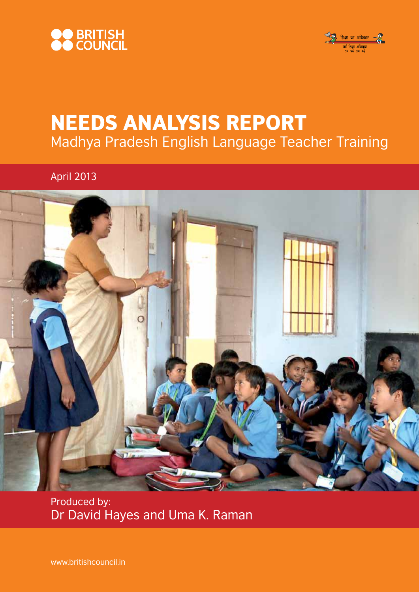



# Needs Analysis Report Madhya Pradesh English Language Teacher Training

April 2013



Produced by: Dr David Hayes and Uma K. Raman

www.britishcouncil.in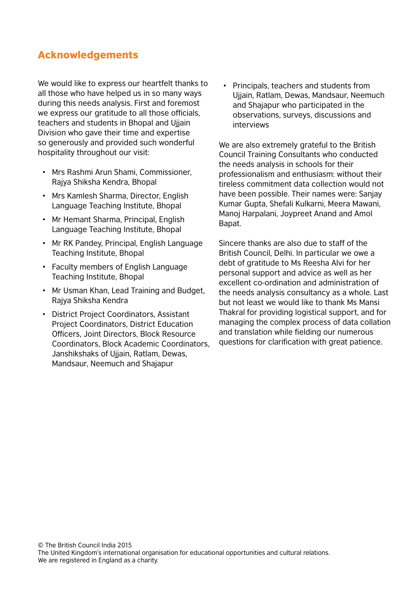# Acknowledgements

We would like to express our heartfelt thanks to all those who have helped us in so many ways during this needs analysis. First and foremost we express our gratitude to all those officials, teachers and students in Bhopal and Ujjain Division who gave their time and expertise so generously and provided such wonderful hospitality throughout our visit:

- Mrs Rashmi Arun Shami, Commissioner, Rajya Shiksha Kendra, Bhopal
- Mrs Kamlesh Sharma, Director, English Language Teaching Institute, Bhopal
- Mr Hemant Sharma, Principal, English Language Teaching Institute, Bhopal
- Mr RK Pandey, Principal, English Language Teaching Institute, Bhopal
- Faculty members of English Language Teaching Institute, Bhopal
- Mr Usman Khan, Lead Training and Budget, Rajya Shiksha Kendra
- District Project Coordinators, Assistant Project Coordinators, District Education Officers, Joint Directors, Block Resource Coordinators, Block Academic Coordinators, Janshikshaks of Ujjain, Ratlam, Dewas, Mandsaur, Neemuch and Shajapur

• Principals, teachers and students from Ujjain, Ratlam, Dewas, Mandsaur, Neemuch and Shajapur who participated in the observations, surveys, discussions and interviews

We are also extremely grateful to the British Council Training Consultants who conducted the needs analysis in schools for their professionalism and enthusiasm: without their tireless commitment data collection would not have been possible. Their names were: Sanjay Kumar Gupta, Shefali Kulkarni, Meera Mawani, Manoj Harpalani, Joypreet Anand and Amol Bapat.

Sincere thanks are also due to staff of the British Council, Delhi. In particular we owe a debt of gratitude to Ms Reesha Alvi for her personal support and advice as well as her excellent co-ordination and administration of the needs analysis consultancy as a whole. Last but not least we would like to thank Ms Mansi Thakral for providing logistical support, and for managing the complex process of data collation and translation while fielding our numerous questions for clarification with great patience.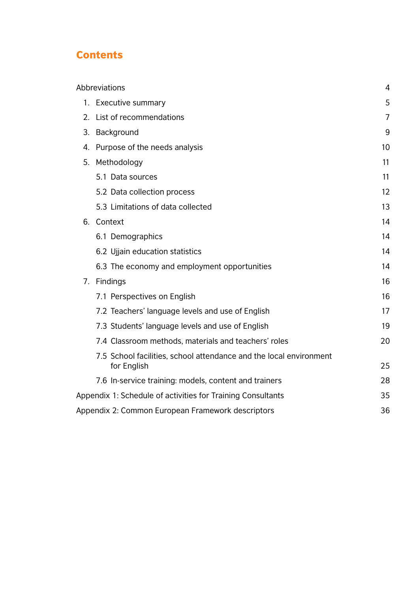# **Contents**

| Abbreviations |                                                                                   |                |  |  |  |  |
|---------------|-----------------------------------------------------------------------------------|----------------|--|--|--|--|
|               | 1. Executive summary                                                              | 5              |  |  |  |  |
|               | 2. List of recommendations                                                        | $\overline{7}$ |  |  |  |  |
|               | 3. Background                                                                     | 9              |  |  |  |  |
|               | 4. Purpose of the needs analysis                                                  | 10             |  |  |  |  |
|               | 5. Methodology                                                                    | 11             |  |  |  |  |
|               | 5.1 Data sources                                                                  | 11             |  |  |  |  |
|               | 5.2 Data collection process                                                       | 12             |  |  |  |  |
|               | 5.3 Limitations of data collected                                                 | 13             |  |  |  |  |
|               | 6. Context                                                                        | 14             |  |  |  |  |
|               | 6.1 Demographics                                                                  | 14             |  |  |  |  |
|               | 6.2 Ujjain education statistics                                                   | 14             |  |  |  |  |
|               | 6.3 The economy and employment opportunities                                      | 14             |  |  |  |  |
|               | 7. Findings                                                                       | 16             |  |  |  |  |
|               | 7.1 Perspectives on English                                                       | 16             |  |  |  |  |
|               | 7.2 Teachers' language levels and use of English                                  | 17             |  |  |  |  |
|               | 7.3 Students' language levels and use of English                                  | 19             |  |  |  |  |
|               | 7.4 Classroom methods, materials and teachers' roles                              | 20             |  |  |  |  |
|               | 7.5 School facilities, school attendance and the local environment<br>for English | 25             |  |  |  |  |
|               | 7.6 In-service training: models, content and trainers                             | 28             |  |  |  |  |
|               | Appendix 1: Schedule of activities for Training Consultants                       | 35             |  |  |  |  |
|               | Appendix 2: Common European Framework descriptors                                 | 36             |  |  |  |  |
|               |                                                                                   |                |  |  |  |  |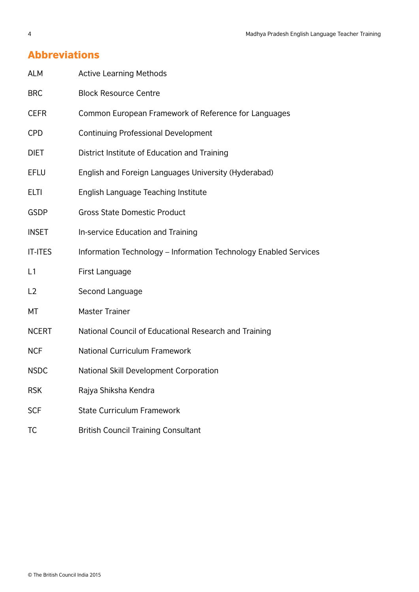# Abbreviations

| <b>ALM</b>     | <b>Active Learning Methods</b>                                   |
|----------------|------------------------------------------------------------------|
| <b>BRC</b>     | <b>Block Resource Centre</b>                                     |
| <b>CEFR</b>    | Common European Framework of Reference for Languages             |
| <b>CPD</b>     | <b>Continuing Professional Development</b>                       |
| <b>DIET</b>    | District Institute of Education and Training                     |
| <b>EFLU</b>    | English and Foreign Languages University (Hyderabad)             |
| <b>ELTI</b>    | English Language Teaching Institute                              |
| <b>GSDP</b>    | <b>Gross State Domestic Product</b>                              |
| <b>INSET</b>   | In-service Education and Training                                |
| <b>IT-ITES</b> | Information Technology - Information Technology Enabled Services |
| L1             | First Language                                                   |
| L2             | Second Language                                                  |
| МT             | <b>Master Trainer</b>                                            |
| <b>NCERT</b>   | National Council of Educational Research and Training            |
| <b>NCF</b>     | <b>National Curriculum Framework</b>                             |
| <b>NSDC</b>    | National Skill Development Corporation                           |
| <b>RSK</b>     | Rajya Shiksha Kendra                                             |
| <b>SCF</b>     | <b>State Curriculum Framework</b>                                |
| TC             | <b>British Council Training Consultant</b>                       |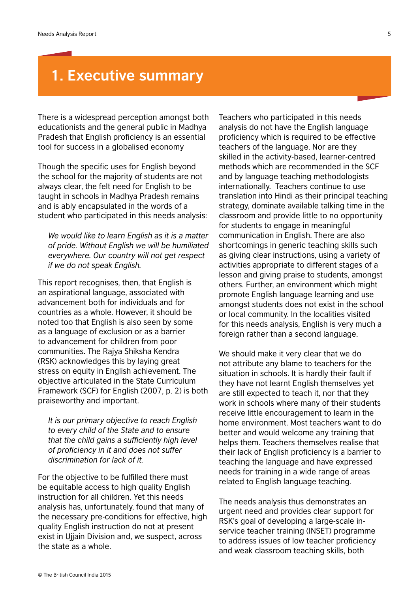# **1. Executive summary**

There is a widespread perception amongst both educationists and the general public in Madhya Pradesh that English proficiency is an essential tool for success in a globalised economy

Though the specific uses for English beyond the school for the majority of students are not always clear, the felt need for English to be taught in schools in Madhya Pradesh remains and is ably encapsulated in the words of a student who participated in this needs analysis:

*We would like to learn English as it is a matter of pride. Without English we will be humiliated everywhere. Our country will not get respect if we do not speak English.*

This report recognises, then, that English is an aspirational language, associated with advancement both for individuals and for countries as a whole. However, it should be noted too that English is also seen by some as a language of exclusion or as a barrier to advancement for children from poor communities. The Rajya Shiksha Kendra (RSK) acknowledges this by laying great stress on equity in English achievement. The objective articulated in the State Curriculum Framework (SCF) for English (2007, p. 2) is both praiseworthy and important.

*It is our primary objective to reach English to every child of the State and to ensure that the child gains a sufficiently high level of proficiency in it and does not suffer discrimination for lack of it.*

For the objective to be fulfilled there must be equitable access to high quality English instruction for all children. Yet this needs analysis has, unfortunately, found that many of the necessary pre-conditions for effective, high quality English instruction do not at present exist in Ujjain Division and, we suspect, across the state as a whole.

Teachers who participated in this needs analysis do not have the English language proficiency which is required to be effective teachers of the language. Nor are they skilled in the activity-based, learner-centred methods which are recommended in the SCF and by language teaching methodologists internationally. Teachers continue to use translation into Hindi as their principal teaching strategy, dominate available talking time in the classroom and provide little to no opportunity for students to engage in meaningful communication in English. There are also shortcomings in generic teaching skills such as giving clear instructions, using a variety of activities appropriate to different stages of a lesson and giving praise to students, amongst others. Further, an environment which might promote English language learning and use amongst students does not exist in the school or local community. In the localities visited for this needs analysis, English is very much a foreign rather than a second language.

We should make it very clear that we do not attribute any blame to teachers for the situation in schools. It is hardly their fault if they have not learnt English themselves yet are still expected to teach it, nor that they work in schools where many of their students receive little encouragement to learn in the home environment. Most teachers want to do better and would welcome any training that helps them. Teachers themselves realise that their lack of English proficiency is a barrier to teaching the language and have expressed needs for training in a wide range of areas related to English language teaching.

The needs analysis thus demonstrates an urgent need and provides clear support for RSK's goal of developing a large-scale inservice teacher training (INSET) programme to address issues of low teacher proficiency and weak classroom teaching skills, both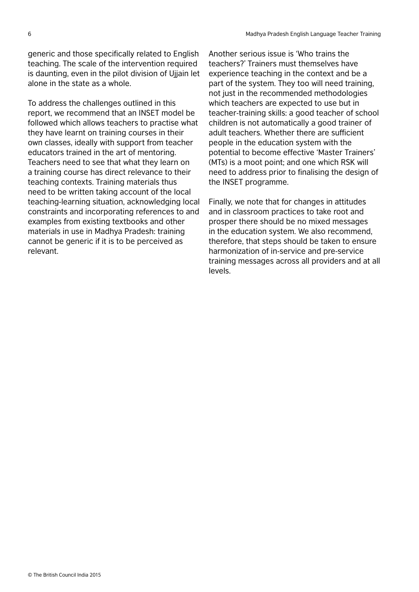generic and those specifically related to English teaching. The scale of the intervention required is daunting, even in the pilot division of Ujjain let alone in the state as a whole.

To address the challenges outlined in this report, we recommend that an INSET model be followed which allows teachers to practise what they have learnt on training courses in their own classes, ideally with support from teacher educators trained in the art of mentoring. Teachers need to see that what they learn on a training course has direct relevance to their teaching contexts. Training materials thus need to be written taking account of the local teaching-learning situation, acknowledging local constraints and incorporating references to and examples from existing textbooks and other materials in use in Madhya Pradesh: training cannot be generic if it is to be perceived as relevant.

Another serious issue is 'Who trains the teachers?' Trainers must themselves have experience teaching in the context and be a part of the system. They too will need training, not just in the recommended methodologies which teachers are expected to use but in teacher-training skills: a good teacher of school children is not automatically a good trainer of adult teachers. Whether there are sufficient people in the education system with the potential to become effective 'Master Trainers' (MTs) is a moot point; and one which RSK will need to address prior to finalising the design of the INSET programme.

Finally, we note that for changes in attitudes and in classroom practices to take root and prosper there should be no mixed messages in the education system. We also recommend, therefore, that steps should be taken to ensure harmonization of in-service and pre-service training messages across all providers and at all levels.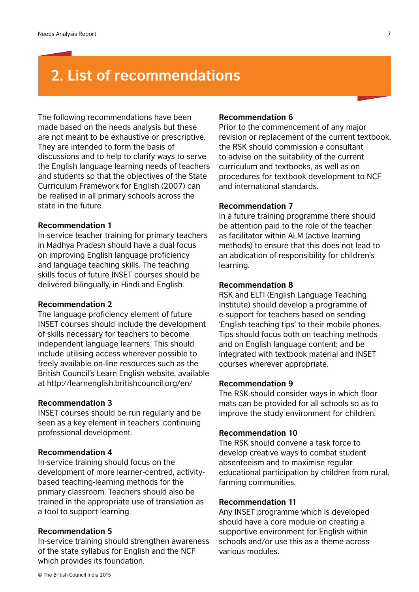# **2. List of recommendations**

The following recommendations have been made based on the needs analysis but these are not meant to be exhaustive or prescriptive. They are intended to form the basis of discussions and to help to clarify ways to serve the English language learning needs of teachers and students so that the objectives of the State Curriculum Framework for English (2007) can be realised in all primary schools across the state in the future.

#### **Recommendation 1**

In-service teacher training for primary teachers in Madhya Pradesh should have a dual focus on improving English language proficiency and language teaching skills. The teaching skills focus of future INSET courses should be delivered bilingually, in Hindi and English.

#### **Recommendation 2**

The language proficiency element of future INSET courses should include the development of skills necessary for teachers to become independent language learners. This should include utilising access wherever possible to freely available on-line resources such as the British Council's Learn English website, available at http://learnenglish.britishcouncil.org/en/

#### **Recommendation 3**

INSET courses should be run regularly and be seen as a key element in teachers' continuing professional development.

#### **Recommendation 4**

In-service training should focus on the development of more learner-centred, activitybased teaching-learning methods for the primary classroom. Teachers should also be trained in the appropriate use of translation as a tool to support learning.

#### **Recommendation 5**

In-service training should strengthen awareness of the state syllabus for English and the NCF which provides its foundation.

#### **Recommendation 6**

Prior to the commencement of any major revision or replacement of the current textbook, the RSK should commission a consultant to advise on the suitability of the current curriculum and textbooks, as well as on procedures for textbook development to NCF and international standards.

#### **Recommendation 7**

In a future training programme there should be attention paid to the role of the teacher as facilitator within ALM (active learning methods) to ensure that this does not lead to an abdication of responsibility for children's learning.

#### **Recommendation 8**

RSK and ELTI (English Language Teaching Institute) should develop a programme of e-support for teachers based on sending 'English teaching tips' to their mobile phones. Tips should focus both on teaching methods and on English language content; and be integrated with textbook material and INSET courses wherever appropriate.

#### **Recommendation 9**

The RSK should consider ways in which floor mats can be provided for all schools so as to improve the study environment for children.

#### **Recommendation 10**

The RSK should convene a task force to develop creative ways to combat student absenteeism and to maximise regular educational participation by children from rural, farming communities.

#### **Recommendation 11**

Any INSET programme which is developed should have a core module on creating a supportive environment for English within schools and/or use this as a theme across various modules.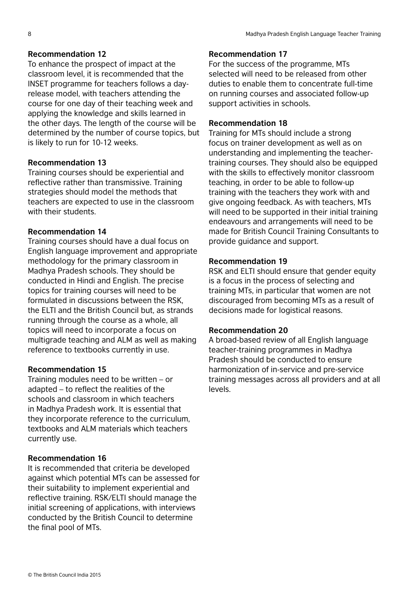## **Recommendation 12**

To enhance the prospect of impact at the classroom level, it is recommended that the INSET programme for teachers follows a dayrelease model, with teachers attending the course for one day of their teaching week and applying the knowledge and skills learned in the other days. The length of the course will be determined by the number of course topics, but is likely to run for 10-12 weeks.

## **Recommendation 13**

Training courses should be experiential and reflective rather than transmissive. Training strategies should model the methods that teachers are expected to use in the classroom with their students.

## **Recommendation 14**

Training courses should have a dual focus on English language improvement and appropriate methodology for the primary classroom in Madhya Pradesh schools. They should be conducted in Hindi and English. The precise topics for training courses will need to be formulated in discussions between the RSK, the ELTI and the British Council but, as strands running through the course as a whole, all topics will need to incorporate a focus on multigrade teaching and ALM as well as making reference to textbooks currently in use.

# **Recommendation 15**

Training modules need to be written – or adapted – to reflect the realities of the schools and classroom in which teachers in Madhya Pradesh work. It is essential that they incorporate reference to the curriculum, textbooks and ALM materials which teachers currently use.

### **Recommendation 16**

It is recommended that criteria be developed against which potential MTs can be assessed for their suitability to implement experiential and reflective training. RSK/ELTI should manage the initial screening of applications, with interviews conducted by the British Council to determine the final pool of MTs.

### **Recommendation 17**

For the success of the programme, MTs selected will need to be released from other duties to enable them to concentrate full-time on running courses and associated follow-up support activities in schools.

### **Recommendation 18**

Training for MTs should include a strong focus on trainer development as well as on understanding and implementing the teachertraining courses. They should also be equipped with the skills to effectively monitor classroom teaching, in order to be able to follow-up training with the teachers they work with and give ongoing feedback. As with teachers, MTs will need to be supported in their initial training endeavours and arrangements will need to be made for British Council Training Consultants to provide guidance and support.

### **Recommendation 19**

RSK and ELTI should ensure that gender equity is a focus in the process of selecting and training MTs, in particular that women are not discouraged from becoming MTs as a result of decisions made for logistical reasons.

### **Recommendation 20**

A broad-based review of all English language teacher-training programmes in Madhya Pradesh should be conducted to ensure harmonization of in-service and pre-service training messages across all providers and at all levels.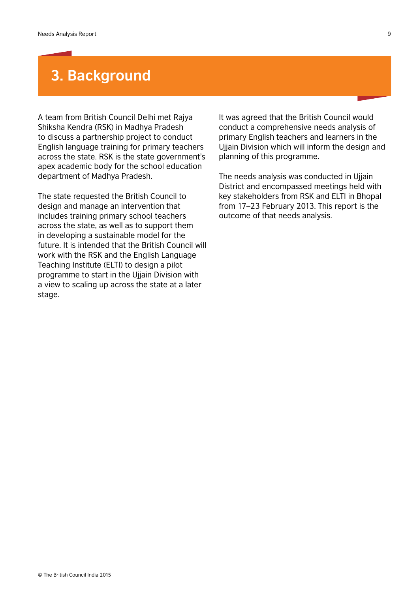# **3. Background**

A team from British Council Delhi met Rajya Shiksha Kendra (RSK) in Madhya Pradesh to discuss a partnership project to conduct English language training for primary teachers across the state. RSK is the state government's apex academic body for the school education department of Madhya Pradesh.

The state requested the British Council to design and manage an intervention that includes training primary school teachers across the state, as well as to support them in developing a sustainable model for the future. It is intended that the British Council will work with the RSK and the English Language Teaching Institute (ELTI) to design a pilot programme to start in the Ujjain Division with a view to scaling up across the state at a later stage.

It was agreed that the British Council would conduct a comprehensive needs analysis of primary English teachers and learners in the Ujjain Division which will inform the design and planning of this programme.

The needs analysis was conducted in Ujjain District and encompassed meetings held with key stakeholders from RSK and ELTI in Bhopal from 17–23 February 2013. This report is the outcome of that needs analysis.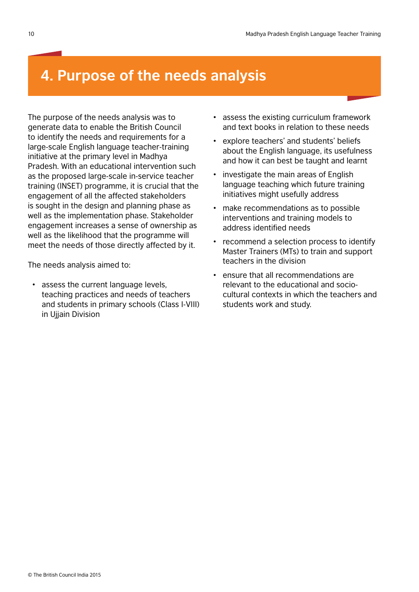# **4. Purpose of the needs analysis**

The purpose of the needs analysis was to generate data to enable the British Council to identify the needs and requirements for a large-scale English language teacher-training initiative at the primary level in Madhya Pradesh. With an educational intervention such as the proposed large-scale in-service teacher training (INSET) programme, it is crucial that the engagement of all the affected stakeholders is sought in the design and planning phase as well as the implementation phase. Stakeholder engagement increases a sense of ownership as well as the likelihood that the programme will meet the needs of those directly affected by it.

The needs analysis aimed to:

assess the current language levels, teaching practices and needs of teachers and students in primary schools (Class I-VIII) in Ujjain Division

- assess the existing curriculum framework and text books in relation to these needs
- explore teachers' and students' beliefs about the English language, its usefulness and how it can best be taught and learnt
- investigate the main areas of English language teaching which future training initiatives might usefully address
- make recommendations as to possible interventions and training models to address identified needs
- recommend a selection process to identify Master Trainers (MTs) to train and support teachers in the division
- ensure that all recommendations are relevant to the educational and sociocultural contexts in which the teachers and students work and study.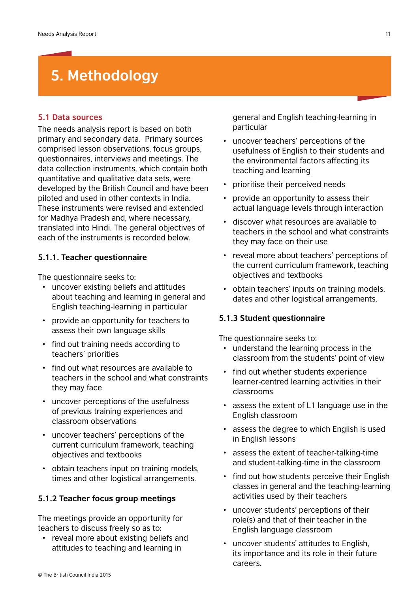# **5. Methodology**

#### **5.1 Data sources**

The needs analysis report is based on both primary and secondary data. Primary sources comprised lesson observations, focus groups, questionnaires, interviews and meetings. The data collection instruments, which contain both quantitative and qualitative data sets, were developed by the British Council and have been piloted and used in other contexts in India. These instruments were revised and extended for Madhya Pradesh and, where necessary, translated into Hindi. The general objectives of each of the instruments is recorded below.

### **5.1.1. Teacher questionnaire**

The questionnaire seeks to:

- uncover existing beliefs and attitudes about teaching and learning in general and English teaching-learning in particular
- provide an opportunity for teachers to assess their own language skills
- find out training needs according to teachers' priorities
- find out what resources are available to teachers in the school and what constraints they may face
- uncover perceptions of the usefulness of previous training experiences and classroom observations
- uncover teachers' perceptions of the current curriculum framework, teaching objectives and textbooks
- obtain teachers input on training models, times and other logistical arrangements.

#### **5.1.2 Teacher focus group meetings**

The meetings provide an opportunity for teachers to discuss freely so as to:

• reveal more about existing beliefs and attitudes to teaching and learning in

general and English teaching-learning in particular

- uncover teachers' perceptions of the usefulness of English to their students and the environmental factors affecting its teaching and learning
- prioritise their perceived needs
- provide an opportunity to assess their actual language levels through interaction
- discover what resources are available to teachers in the school and what constraints they may face on their use
- reveal more about teachers' perceptions of the current curriculum framework, teaching objectives and textbooks
- obtain teachers' inputs on training models, dates and other logistical arrangements.

#### **5.1.3 Student questionnaire**

The questionnaire seeks to:

- understand the learning process in the classroom from the students' point of view
- find out whether students experience learner-centred learning activities in their classrooms
- assess the extent of L1 language use in the English classroom
- assess the degree to which English is used in English lessons
- assess the extent of teacher-talking-time and student-talking-time in the classroom
- find out how students perceive their English classes in general and the teaching-learning activities used by their teachers
- uncover students' perceptions of their role(s) and that of their teacher in the English language classroom
- uncover students' attitudes to English, its importance and its role in their future careers.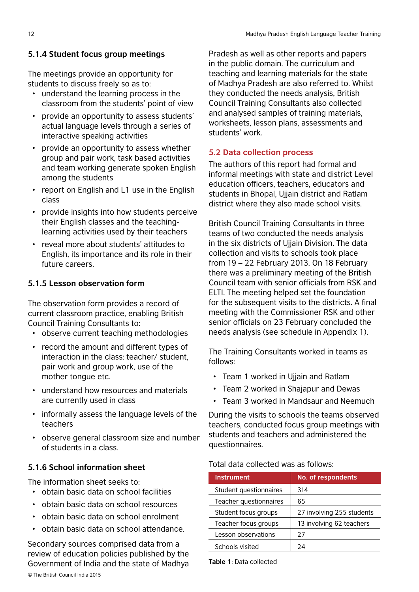# **5.1.4 Student focus group meetings**

The meetings provide an opportunity for students to discuss freely so as to:

- understand the learning process in the classroom from the students' point of view
- provide an opportunity to assess students' actual language levels through a series of interactive speaking activities
- provide an opportunity to assess whether group and pair work, task based activities and team working generate spoken English among the students
- report on English and L1 use in the English class
- provide insights into how students perceive their English classes and the teachinglearning activities used by their teachers
- reveal more about students' attitudes to English, its importance and its role in their future careers.

# **5.1.5 Lesson observation form**

The observation form provides a record of current classroom practice, enabling British Council Training Consultants to:

- observe current teaching methodologies
- record the amount and different types of interaction in the class: teacher/ student, pair work and group work, use of the mother tongue etc.
- understand how resources and materials are currently used in class
- informally assess the language levels of the teachers
- observe general classroom size and number of students in a class.

# **5.1.6 School information sheet**

The information sheet seeks to:

- obtain basic data on school facilities
- obtain basic data on school resources
- obtain basic data on school enrolment
- obtain basic data on school attendance.

© The British Council India 2015 Secondary sources comprised data from a review of education policies published by the Government of India and the state of Madhya

Pradesh as well as other reports and papers in the public domain. The curriculum and teaching and learning materials for the state of Madhya Pradesh are also referred to. Whilst they conducted the needs analysis, British Council Training Consultants also collected and analysed samples of training materials, worksheets, lesson plans, assessments and students' work.

# **5.2 Data collection process**

The authors of this report had formal and informal meetings with state and district Level education officers, teachers, educators and students in Bhopal, Ujjain district and Ratlam district where they also made school visits.

British Council Training Consultants in three teams of two conducted the needs analysis in the six districts of Ujjain Division. The data collection and visits to schools took place from 19 – 22 February 2013. On 18 February there was a preliminary meeting of the British Council team with senior officials from RSK and ELTI. The meeting helped set the foundation for the subsequent visits to the districts. A final meeting with the Commissioner RSK and other senior officials on 23 February concluded the needs analysis (see schedule in Appendix 1).

The Training Consultants worked in teams as follows:

- Team 1 worked in Ujjain and Ratlam
- Team 2 worked in Shajapur and Dewas
- Team 3 worked in Mandsaur and Neemuch

During the visits to schools the teams observed teachers, conducted focus group meetings with students and teachers and administered the questionnaires.

# Total data collected was as follows:

| <b>Instrument</b>      | <b>No. of respondents</b> |
|------------------------|---------------------------|
| Student questionnaires | 314                       |
| Teacher questionnaires | 65                        |
| Student focus groups   | 27 involving 255 students |
| Teacher focus groups   | 13 involving 62 teachers  |
| Lesson observations    | 27                        |
| Schools visited        | 24                        |

**Table 1**: Data collected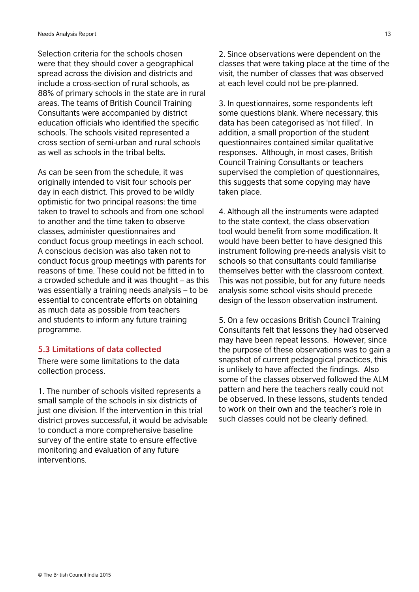Selection criteria for the schools chosen were that they should cover a geographical spread across the division and districts and include a cross-section of rural schools, as 88% of primary schools in the state are in rural areas. The teams of British Council Training Consultants were accompanied by district education officials who identified the specific schools. The schools visited represented a cross section of semi-urban and rural schools as well as schools in the tribal belts.

As can be seen from the schedule, it was originally intended to visit four schools per day in each district. This proved to be wildly optimistic for two principal reasons: the time taken to travel to schools and from one school to another and the time taken to observe classes, administer questionnaires and conduct focus group meetings in each school. A conscious decision was also taken not to conduct focus group meetings with parents for reasons of time. These could not be fitted in to a crowded schedule and it was thought – as this was essentially a training needs analysis – to be essential to concentrate efforts on obtaining as much data as possible from teachers and students to inform any future training programme.

# **5.3 Limitations of data collected**

There were some limitations to the data collection process.

1. The number of schools visited represents a small sample of the schools in six districts of just one division. If the intervention in this trial district proves successful, it would be advisable to conduct a more comprehensive baseline survey of the entire state to ensure effective monitoring and evaluation of any future interventions.

2. Since observations were dependent on the classes that were taking place at the time of the visit, the number of classes that was observed at each level could not be pre-planned.

3. In questionnaires, some respondents left some questions blank. Where necessary, this data has been categorised as 'not filled'. In addition, a small proportion of the student questionnaires contained similar qualitative responses. Although, in most cases, British Council Training Consultants or teachers supervised the completion of questionnaires, this suggests that some copying may have taken place.

4. Although all the instruments were adapted to the state context, the class observation tool would benefit from some modification. It would have been better to have designed this instrument following pre-needs analysis visit to schools so that consultants could familiarise themselves better with the classroom context. This was not possible, but for any future needs analysis some school visits should precede design of the lesson observation instrument.

5. On a few occasions British Council Training Consultants felt that lessons they had observed may have been repeat lessons. However, since the purpose of these observations was to gain a snapshot of current pedagogical practices, this is unlikely to have affected the findings. Also some of the classes observed followed the ALM pattern and here the teachers really could not be observed. In these lessons, students tended to work on their own and the teacher's role in such classes could not be clearly defined.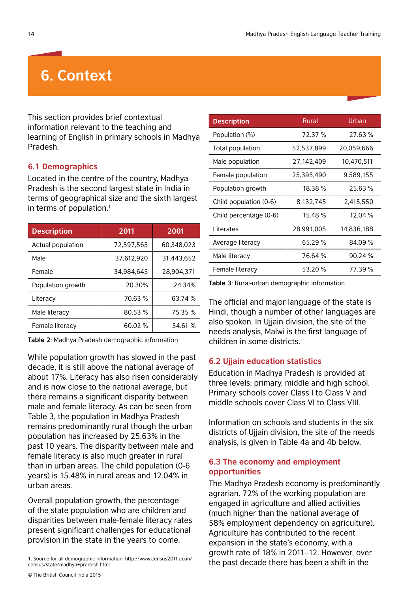# **6. Context**

This section provides brief contextual information relevant to the teaching and learning of English in primary schools in Madhya Pradesh.

#### **6.1 Demographics**

Located in the centre of the country, Madhya Pradesh is the second largest state in India in terms of geographical size and the sixth largest in terms of population. $<sup>1</sup>$ </sup>

| <b>Description</b> | 2011       | 2001       |  |
|--------------------|------------|------------|--|
| Actual population  | 72,597,565 | 60.348.023 |  |
| Male               | 37,612,920 | 31.443.652 |  |
| Female             | 34,984,645 | 28,904,371 |  |
| Population growth  | 20.30%     | 24.34%     |  |
| Literacy           | 70.63 %    | 63.74 %    |  |
| Male literacy      | 80.53 %    | 75.35 %    |  |
| Female literacy    | 60.02 %    | 54.61 %    |  |

**Table 2**: Madhya Pradesh demographic information

While population growth has slowed in the past decade, it is still above the national average of about 17%. Literacy has also risen considerably and is now close to the national average, but there remains a significant disparity between male and female literacy. As can be seen from Table 3, the population in Madhya Pradesh remains predominantly rural though the urban population has increased by 25.63% in the past 10 years. The disparity between male and female literacy is also much greater in rural than in urban areas. The child population (0-6 years) is 15.48% in rural areas and 12.04% in urban areas.

Overall population growth, the percentage of the state population who are children and disparities between male-female literacy rates present significant challenges for educational provision in the state in the years to come.

| <b>Description</b>     | <b>Rural</b> | Urban      |
|------------------------|--------------|------------|
| Population (%)         | 72.37 %      | 27.63 %    |
| Total population       | 52,537,899   | 20,059,666 |
| Male population        | 27,142,409   | 10,470,511 |
| Female population      | 25,395,490   | 9,589,155  |
| Population growth      | 18.38 %      | 25.63 %    |
| Child population (0-6) | 8,132,745    | 2,415,550  |
| Child percentage (0-6) | 15.48 %      | 12.04 %    |
| Literates              | 28,991,005   | 14,836,188 |
| Average literacy       | 65.29 %      | 84.09 %    |
| Male literacy          | 76.64 %      | 90.24%     |
| Female literacy        | 53.20 %      | 77.39 %    |

**Table 3**: Rural-urban demographic information

The official and major language of the state is Hindi, though a number of other languages are also spoken. In Ujjain division, the site of the needs analysis, Malwi is the first language of children in some districts.

### **6.2 Ujjain education statistics**

Education in Madhya Pradesh is provided at three levels: primary, middle and high school. Primary schools cover Class I to Class V and middle schools cover Class VI to Class VIII.

Information on schools and students in the six districts of Ujjain division, the site of the needs analysis, is given in Table 4a and 4b below.

### **6.3 The economy and employment opportunities**

The Madhya Pradesh economy is predominantly agrarian. 72% of the working population are engaged in agriculture and allied activities (much higher than the national average of 58% employment dependency on agriculture). Agriculture has contributed to the recent expansion in the state's economy, with a growth rate of 18% in 2011–12. However, over 1. Source for all demographic information: http://www.census2011.co.in/<br>
the past decade there has been a shift in the

census/state/madhya+pradesh.html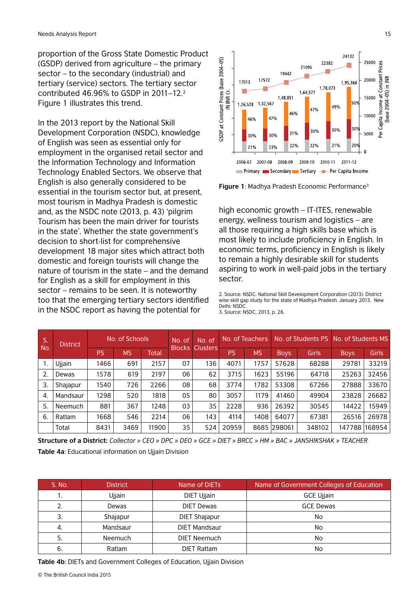proportion of the Gross State Domestic Product (GSDP) derived from agriculture – the primary sector – to the secondary (industrial) and tertiary (service) sectors. The tertiary sector contributed 46.96% to GSDP in  $2011-12.<sup>2</sup>$ Figure 1 illustrates this trend.

In the 2013 report by the National Skill Development Corporation (NSDC), knowledge of English was seen as essential only for employment in the organised retail sector and the Information Technology and Information Technology Enabled Sectors. We observe that English is also generally considered to be essential in the tourism sector but, at present, most tourism in Madhya Pradesh is domestic and, as the NSDC note (2013, p. 43) 'pilgrim Tourism has been the main driver for tourists in the state'. Whether the state government's decision to short-list for comprehensive development 18 major sites which attract both domestic and foreign tourists will change the nature of tourism in the state – and the demand for English as a skill for employment in this sector – remains to be seen. It is noteworthy too that the emerging tertiary sectors identified in the NSDC report as having the potential for





high economic growth – IT-ITES, renewable energy, wellness tourism and logistics – are all those requiring a high skills base which is most likely to include proficiency in English. In economic terms, proficiency in English is likely to remain a highly desirable skill for students aspiring to work in well-paid jobs in the tertiary sector.

2. Source: NSDC: National Skill Development Corporation (2013). District wise skill gap study for the state of Madhya Pradesh. January 2013. New Delhi: NSDC. 3. Source: NSDC, 2013, p. 26.

| S.               | <b>District</b> | No. of Schools |           | No. of<br>No. of |               | No. of Teachers |       | No. of Students PS |             | No. of Students MS |             |              |
|------------------|-----------------|----------------|-----------|------------------|---------------|-----------------|-------|--------------------|-------------|--------------------|-------------|--------------|
| No.              |                 | PS             | <b>MS</b> | Total            | <b>Blocks</b> | <b>Clusters</b> | PS    | <b>MS</b>          | <b>Boys</b> | Girls              | <b>Boys</b> | <b>Girls</b> |
|                  | Ujjain          | 1466           | 691       | 2157             | 07            | 136             | 4071  | 1757               | 57628       | 68288              | 29781       | 33219        |
| $\overline{2}$ . | Dewas           | 1578           | 619       | 2197             | 06            | 62              | 3715  | 1623               | 55196       | 64718              | 25263       | 32456        |
| 3.               | Shajapur        | 1540           | 726       | 2266             | 08            | 68              | 3774  | 1782               | 53308       | 67266              | 27888       | 33670        |
| -4.              | Mandsaur        | 1298           | 520       | 1818             | 05            | 80              | 3057  | 1179               | 41460       | 49904              | 23828       | 26682        |
| 5.               | Neemuch         | 881            | 367       | 1248             | 03            | 35              | 2228  | 936                | 26392       | 30545              | 14422       | 15949        |
| 6.               | Ratlam          | 1668           | 546       | 2214             | 06            | 143             | 4114  | 1408               | 64077       | 67381              | 26516       | 26978        |
|                  | Total           | 8431           | 3469      | 11900            | 35            | 524             | 20959 |                    | 8685 298061 | 348102             | 147788      | 168954       |

**Structure of a District:** *Collector » CEO » DPC » DEO » GCE » DIET » BRCC » HM » BAC » JANSHIKSHAK » TEACHER* **Table 4a**: Educational information on Ujjain Division

| S. No. | <b>District</b> | Name of DIETs        | Name of Government Colleges of Education |
|--------|-----------------|----------------------|------------------------------------------|
| . .    | Ujjain          | DIET Ujjain          | <b>GCE Ujjain</b>                        |
| 2.     | Dewas           | <b>DIET Dewas</b>    | <b>GCE Dewas</b>                         |
| 3.     | Shajapur        | <b>DIET Shajapur</b> | No                                       |
| -4.    | Mandsaur        | <b>DIET Mandsaur</b> | No                                       |
| 5.     | Neemuch         | <b>DIET Neemuch</b>  | No                                       |
| 6.     | Ratlam          | <b>DIET Ratlam</b>   | No                                       |

**Table 4b**: DIETs and Government Colleges of Education, Ujjain Division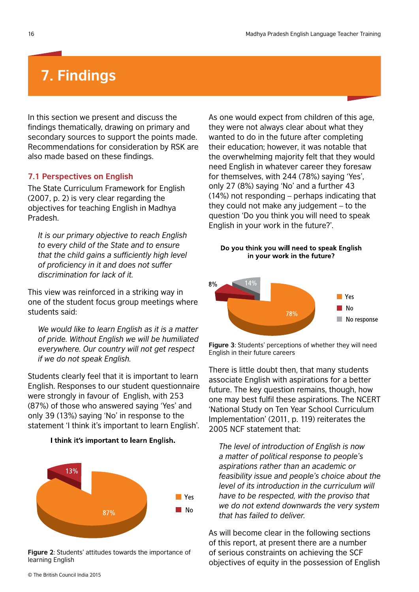# **7. Findings**

In this section we present and discuss the findings thematically, drawing on primary and secondary sources to support the points made. Recommendations for consideration by RSK are also made based on these findings.

#### **7.1 Perspectives on English**

The State Curriculum Framework for English (2007, p. 2) is very clear regarding the objectives for teaching English in Madhya Pradesh.

*It is our primary objective to reach English to every child of the State and to ensure that the child gains a sufficiently high level of proficiency in it and does not suffer discrimination for lack of it.*

This view was reinforced in a striking way in one of the student focus group meetings where students said:

*We would like to learn English as it is a matter of pride. Without English we will be humiliated everywhere. Our country will not get respect if we do not speak English.*

Students clearly feel that it is important to learn English. Responses to our student questionnaire were strongly in favour of English, with 253 (87%) of those who answered saying 'Yes' and only 39 (13%) saying 'No' in response to the statement 'I think it's important to learn English'.



I think it's important to learn English.

**Figure 2**: Students' attitudes towards the importance of learning English

As one would expect from children of this age, they were not always clear about what they wanted to do in the future after completing their education; however, it was notable that the overwhelming majority felt that they would need English in whatever career they foresaw for themselves, with 244 (78%) saying 'Yes', only 27 (8%) saying 'No' and a further 43 (14%) not responding – perhaps indicating that they could not make any judgement – to the question 'Do you think you will need to speak English in your work in the future?'.

#### Do you think you will need to speak English in your work in the future?



**Figure 3**: Students' perceptions of whether they will need English in their future careers

There is little doubt then, that many students associate English with aspirations for a better future. The key question remains, though, how one may best fulfil these aspirations. The NCERT 'National Study on Ten Year School Curriculum Implementation' (2011, p. 119) reiterates the 2005 NCF statement that:

*The level of introduction of English is now a matter of political response to people's aspirations rather than an academic or feasibility issue and people's choice about the level of its introduction in the curriculum will have to be respected, with the proviso that we do not extend downwards the very system that has failed to deliver.*

As will become clear in the following sections of this report, at present there are a number of serious constraints on achieving the SCF objectives of equity in the possession of English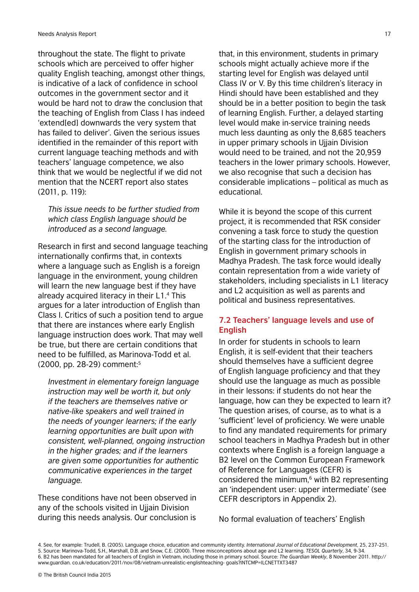throughout the state. The flight to private schools which are perceived to offer higher quality English teaching, amongst other things, is indicative of a lack of confidence in school outcomes in the government sector and it would be hard not to draw the conclusion that the teaching of English from Class I has indeed 'extend[ed] downwards the very system that has failed to deliver'. Given the serious issues identified in the remainder of this report with current language teaching methods and with teachers' language competence, we also think that we would be neglectful if we did not mention that the NCERT report also states (2011, p. 119):

*This issue needs to be further studied from which class English language should be introduced as a second language.*

Research in first and second language teaching internationally confirms that, in contexts where a language such as English is a foreign language in the environment, young children will learn the new language best if they have already acquired literacy in their L1.4 This argues for a later introduction of English than Class I. Critics of such a position tend to argue that there are instances where early English language instruction does work. That may well be true, but there are certain conditions that need to be fulfilled, as Marinova-Todd et al. (2000, pp. 28-29) comment:5

*Investment in elementary foreign language instruction may well be worth it, but only if the teachers are themselves native or native-like speakers and well trained in the needs of younger learners; if the early learning opportunities are built upon with consistent, well-planned, ongoing instruction in the higher grades; and if the learners are given some opportunities for authentic communicative experiences in the target language.*

These conditions have not been observed in any of the schools visited in Ujjain Division during this needs analysis. Our conclusion is

that, in this environment, students in primary schools might actually achieve more if the starting level for English was delayed until Class IV or V. By this time children's literacy in Hindi should have been established and they should be in a better position to begin the task of learning English. Further, a delayed starting level would make in-service training needs much less daunting as only the 8,685 teachers in upper primary schools in Ujjain Division would need to be trained, and not the 20,959 teachers in the lower primary schools. However, we also recognise that such a decision has considerable implications – political as much as educational.

While it is beyond the scope of this current project, it is recommended that RSK consider convening a task force to study the question of the starting class for the introduction of English in government primary schools in Madhya Pradesh. The task force would ideally contain representation from a wide variety of stakeholders, including specialists in L1 literacy and L2 acquisition as well as parents and political and business representatives.

## **7.2 Teachers' language levels and use of English**

In order for students in schools to learn English, it is self-evident that their teachers should themselves have a sufficient degree of English language proficiency and that they should use the language as much as possible in their lessons: if students do not hear the language, how can they be expected to learn it? The question arises, of course, as to what is a 'sufficient' level of proficiency. We were unable to find any mandated requirements for primary school teachers in Madhya Pradesh but in other contexts where English is a foreign language a B2 level on the Common European Framework of Reference for Languages (CEFR) is considered the minimum,<sup>6</sup> with B2 representing an 'independent user: upper intermediate' (see CEFR descriptors in Appendix 2).

No formal evaluation of teachers' English

<sup>4.</sup> See, for example: Trudell, B. (2005). Language choice, education and community identity. *International Journal of Educational Development*, 25, 237-251. 5. Source: Marinova-Todd, S.H., Marshall, D.B. and Snow, C.E. (2000). Three misconceptions about age and L2 learning. *TESOL Quarterly*, 34, 9-34. 6. B2 has been mandated for all teachers of English in Vietnam, including those in primary school. Source: *The Guardian Weekly*, 8 November 2011. http:// www.guardian. co.uk/education/2011/nov/08/vietnam-unrealistic-englishteaching- goals?INTCMP=ILCNETTXT3487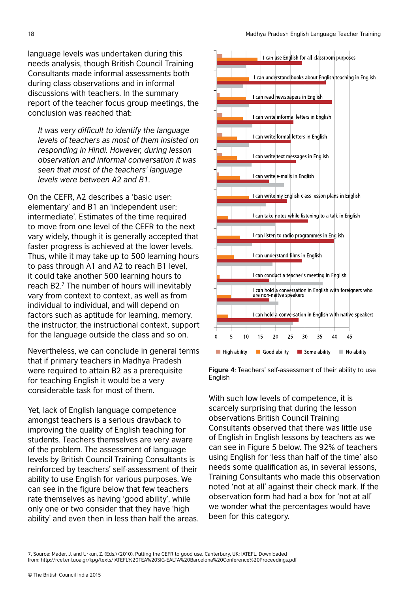language levels was undertaken during this needs analysis, though British Council Training Consultants made informal assessments both during class observations and in informal discussions with teachers. In the summary report of the teacher focus group meetings, the conclusion was reached that:

*It was very difficult to identify the language levels of teachers as most of them insisted on responding in Hindi. However, during lesson observation and informal conversation it was seen that most of the teachers' language levels were between A2 and B1.*

On the CEFR, A2 describes a 'basic user: elementary' and B1 an 'independent user: intermediate'. Estimates of the time required to move from one level of the CEFR to the next vary widely, though it is generally accepted that faster progress is achieved at the lower levels. Thus, while it may take up to 500 learning hours to pass through A1 and A2 to reach B1 level, it could take another 500 learning hours to reach B2.7 The number of hours will inevitably vary from context to context, as well as from individual to individual, and will depend on factors such as aptitude for learning, memory, the instructor, the instructional context, support for the language outside the class and so on.

Nevertheless, we can conclude in general terms that if primary teachers in Madhya Pradesh were required to attain B2 as a prerequisite for teaching English it would be a very considerable task for most of them.

Yet, lack of English language competence amongst teachers is a serious drawback to improving the quality of English teaching for students. Teachers themselves are very aware of the problem. The assessment of language levels by British Council Training Consultants is reinforced by teachers' self-assessment of their ability to use English for various purposes. We can see in the figure below that few teachers rate themselves as having 'good ability', while only one or two consider that they have 'high ability' and even then in less than half the areas.





With such low levels of competence, it is scarcely surprising that during the lesson observations British Council Training Consultants observed that there was little use of English in English lessons by teachers as we can see in Figure 5 below. The 92% of teachers using English for 'less than half of the time' also needs some qualification as, in several lessons, Training Consultants who made this observation noted 'not at all' against their check mark. If the observation form had had a box for 'not at all' we wonder what the percentages would have been for this category.

7. Source: Mader, J. and Urkun, Z. (Eds.) (2010). Putting the CEFR to good use. Canterbury, UK: IATEFL. Downloaded from: http://rcel.enl.uoa.gr/kpg/texts/IATEFL%20TEA%20SIG-EALTA%20Barcelona%20Conference%20Proceedings.pdf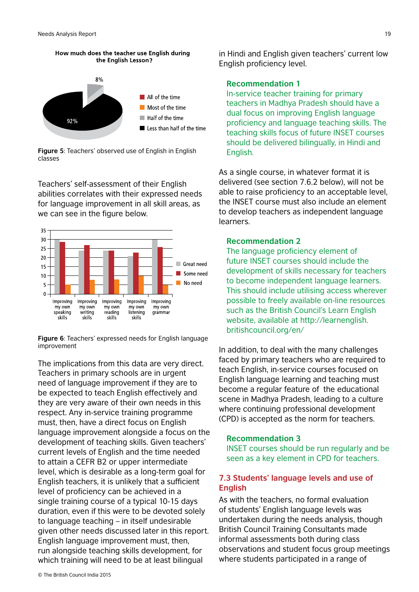



**Figure 5**: Teachers' observed use of English in English classes

Teachers' self-assessment of their English abilities correlates with their expressed needs for language improvement in all skill areas, as we can see in the figure below.



**Figure 6**: Teachers' expressed needs for English language improvement

The implications from this data are very direct. Teachers in primary schools are in urgent need of language improvement if they are to be expected to teach English effectively and they are very aware of their own needs in this respect. Any in-service training programme must, then, have a direct focus on English language improvement alongside a focus on the development of teaching skills. Given teachers' current levels of English and the time needed to attain a CEFR B2 or upper intermediate level, which is desirable as a long-term goal for English teachers, it is unlikely that a sufficient level of proficiency can be achieved in a single training course of a typical 10-15 days duration, even if this were to be devoted solely to language teaching – in itself undesirable given other needs discussed later in this report. English language improvement must, then, run alongside teaching skills development, for which training will need to be at least bilingual

**Recommendation 1**

In-service teacher training for primary teachers in Madhya Pradesh should have a dual focus on improving English language proficiency and language teaching skills. The teaching skills focus of future INSET courses should be delivered bilingually, in Hindi and English.

As a single course, in whatever format it is delivered (see section 7.6.2 below), will not be able to raise proficiency to an acceptable level, the INSET course must also include an element to develop teachers as independent language learners.

#### **Recommendation 2**

The language proficiency element of future INSET courses should include the development of skills necessary for teachers to become independent language learners. This should include utilising access wherever possible to freely available on-line resources such as the British Council's Learn English website, available at http://learnenglish. britishcouncil.org/en/

In addition, to deal with the many challenges faced by primary teachers who are required to teach English, in-service courses focused on English language learning and teaching must become a regular feature of the educational scene in Madhya Pradesh, leading to a culture where continuing professional development (CPD) is accepted as the norm for teachers.

#### **Recommendation 3**

INSET courses should be run regularly and be seen as a key element in CPD for teachers.

### **7.3 Students' language levels and use of English**

As with the teachers, no formal evaluation of students' English language levels was undertaken during the needs analysis, though British Council Training Consultants made informal assessments both during class observations and student focus group meetings where students participated in a range of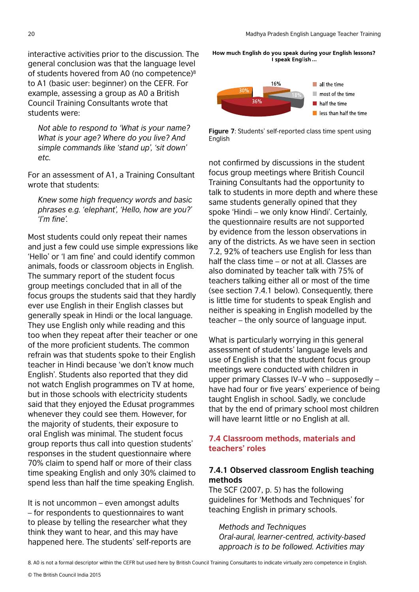interactive activities prior to the discussion. The general conclusion was that the language level of students hovered from A0 (no competence)<sup>8</sup> to A1 (basic user: beginner) on the CEFR. For example, assessing a group as A0 a British Council Training Consultants wrote that students were:

*Not able to respond to 'What is your name? What is your age? Where do you live? And simple commands like 'stand up', 'sit down' etc.* 

For an assessment of A1, a Training Consultant wrote that students:

*Knew some high frequency words and basic phrases e.g. 'elephant', 'Hello, how are you?' 'I'm fine'.*

Most students could only repeat their names and just a few could use simple expressions like 'Hello' or 'I am fine' and could identify common animals, foods or classroom objects in English. The summary report of the student focus group meetings concluded that in all of the focus groups the students said that they hardly ever use English in their English classes but generally speak in Hindi or the local language. They use English only while reading and this too when they repeat after their teacher or one of the more proficient students. The common refrain was that students spoke to their English teacher in Hindi because 'we don't know much English'. Students also reported that they did not watch English programmes on TV at home, but in those schools with electricity students said that they enjoyed the Edusat programmes whenever they could see them. However, for the majority of students, their exposure to oral English was minimal. The student focus group reports thus call into question students' responses in the student questionnaire where 70% claim to spend half or more of their class time speaking English and only 30% claimed to spend less than half the time speaking English.

It is not uncommon – even amongst adults – for respondents to questionnaires to want to please by telling the researcher what they think they want to hear, and this may have happened here. The students' self-reports are How much English do you speak during your English lessons? I speak English



**Figure 7**: Students' self-reported class time spent using English

not confirmed by discussions in the student focus group meetings where British Council Training Consultants had the opportunity to talk to students in more depth and where these same students generally opined that they spoke 'Hindi – we only know Hindi'. Certainly, the questionnaire results are not supported by evidence from the lesson observations in any of the districts. As we have seen in section 7.2, 92% of teachers use English for less than half the class time – or not at all. Classes are also dominated by teacher talk with 75% of teachers talking either all or most of the time (see section 7.4.1 below). Consequently, there is little time for students to speak English and neither is speaking in English modelled by the teacher – the only source of language input.

What is particularly worrying in this general assessment of students' language levels and use of English is that the student focus group meetings were conducted with children in upper primary Classes IV–V who – supposedly – have had four or five years' experience of being taught English in school. Sadly, we conclude that by the end of primary school most children will have learnt little or no English at all.

### **7.4 Classroom methods, materials and teachers' roles**

## **7.4.1 Observed classroom English teaching methods**

The SCF (2007, p. 5) has the following guidelines for 'Methods and Techniques' for teaching English in primary schools.

### *Methods and Techniques Oral-aural, learner-centred, activity-based approach is to be followed. Activities may*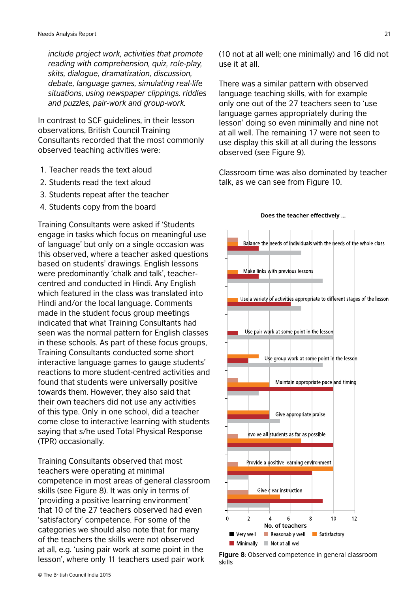*include project work, activities that promote reading with comprehension, quiz, role-play, skits, dialogue, dramatization, discussion, debate, language games, simulating real-life situations, using newspaper clippings, riddles and puzzles, pair-work and group-work.*

In contrast to SCF guidelines, in their lesson observations, British Council Training Consultants recorded that the most commonly observed teaching activities were:

- 1. Teacher reads the text aloud
- 2. Students read the text aloud
- 3. Students repeat after the teacher
- 4. Students copy from the board

Training Consultants were asked if 'Students engage in tasks which focus on meaningful use of language' but only on a single occasion was this observed, where a teacher asked questions based on students' drawings. English lessons were predominantly 'chalk and talk', teachercentred and conducted in Hindi. Any English which featured in the class was translated into Hindi and/or the local language. Comments made in the student focus group meetings indicated that what Training Consultants had seen was the normal pattern for English classes in these schools. As part of these focus groups, Training Consultants conducted some short interactive language games to gauge students' reactions to more student-centred activities and found that students were universally positive towards them. However, they also said that their own teachers did not use any activities of this type. Only in one school, did a teacher come close to interactive learning with students saying that s/he used Total Physical Response (TPR) occasionally.

Training Consultants observed that most teachers were operating at minimal competence in most areas of general classroom skills (see Figure 8). It was only in terms of 'providing a positive learning environment' that 10 of the 27 teachers observed had even 'satisfactory' competence. For some of the categories we should also note that for many of the teachers the skills were not observed at all, e.g. 'using pair work at some point in the lesson', where only 11 teachers used pair work

(10 not at all well; one minimally) and 16 did not use it at all.

There was a similar pattern with observed language teaching skills, with for example only one out of the 27 teachers seen to 'use language games appropriately during the lesson' doing so even minimally and nine not at all well. The remaining 17 were not seen to use display this skill at all during the lessons observed (see Figure 9).

Classroom time was also dominated by teacher talk, as we can see from Figure 10.



# **Does the teacher effectively ...**

**Figure 8**: Observed competence in general classroom skills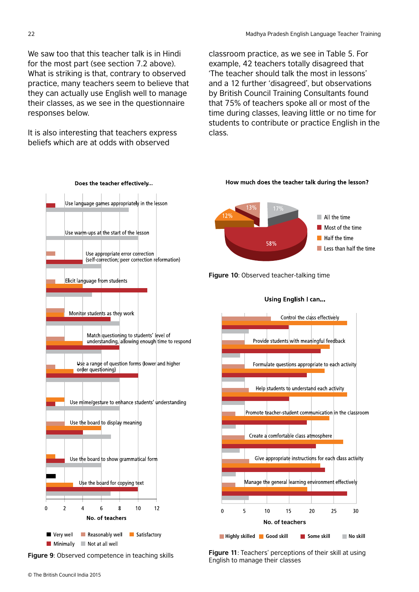We saw too that this teacher talk is in Hindi for the most part (see section 7.2 above). What is striking is that, contrary to observed practice, many teachers seem to believe that they can actually use English well to manage their classes, as we see in the questionnaire responses below.

It is also interesting that teachers express beliefs which are at odds with observed

classroom practice, as we see in Table 5. For example, 42 teachers totally disagreed that 'The teacher should talk the most in lessons' and a 12 further 'disagreed', but observations by British Council Training Consultants found that 75% of teachers spoke all or most of the time during classes, leaving little or no time for students to contribute or practice English in the class.



**Figure 9**: Observed competence in teaching skills

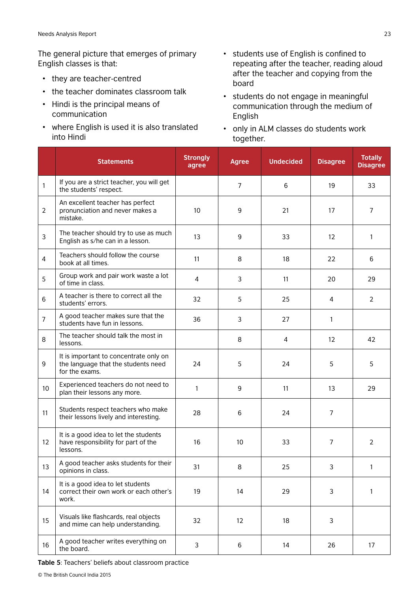The general picture that emerges of primary English classes is that:

- they are teacher-centred
- the teacher dominates classroom talk
- Hindi is the principal means of communication
- where English is used it is also translated into Hindi
- students use of English is confined to repeating after the teacher, reading aloud after the teacher and copying from the board
- students do not engage in meaningful communication through the medium of English
- only in ALM classes do students work together.

|                | <b>Statements</b>                                                                               | <b>Strongly</b><br>agree | <b>Agree</b>   | <b>Undecided</b> | <b>Disagree</b>   | <b>Totally</b><br><b>Disagree</b> |
|----------------|-------------------------------------------------------------------------------------------------|--------------------------|----------------|------------------|-------------------|-----------------------------------|
| 1              | If you are a strict teacher, you will get<br>the students' respect.                             |                          | $\overline{7}$ | 6                | 19                | 33                                |
| $\overline{2}$ | An excellent teacher has perfect<br>pronunciation and never makes a<br>mistake.                 | 10                       | 9              | 21               | 17                | $\overline{7}$                    |
| 3              | The teacher should try to use as much<br>English as s/he can in a lesson.                       | 13                       | 9              | 33               | $12 \overline{ }$ | 1                                 |
| 4              | Teachers should follow the course<br>book at all times.                                         | 11                       | 8              | 18               | 22                | 6                                 |
| 5              | Group work and pair work waste a lot<br>of time in class.                                       | 4                        | 3              | 11               | 20                | 29                                |
| 6              | A teacher is there to correct all the<br>students' errors.                                      | 32                       | 5              | 25               | 4                 | $\overline{2}$                    |
| $\overline{7}$ | A good teacher makes sure that the<br>students have fun in lessons.                             | 36                       | 3              | 27               | 1                 |                                   |
| 8              | The teacher should talk the most in<br>lessons.                                                 |                          | 8              | 4                | 12                | 42                                |
| 9              | It is important to concentrate only on<br>the language that the students need<br>for the exams. | 24                       | 5              | 24               | 5                 | 5                                 |
| 10             | Experienced teachers do not need to<br>plan their lessons any more.                             | $\mathbf{1}$             | 9              | 11               | 13                | 29                                |
| 11             | Students respect teachers who make<br>their lessons lively and interesting.                     | 28                       | 6              | 24               | $\overline{7}$    |                                   |
| 12             | It is a good idea to let the students<br>have responsibility for part of the<br>lessons.        | 16                       | 10             | 33               | 7                 | 2                                 |
| 13             | A good teacher asks students for their<br>opinions in class.                                    | 31                       | 8              | 25               | 3                 | $\mathbf{1}$                      |
| 14             | It is a good idea to let students<br>correct their own work or each other's<br>work.            | 19                       | 14             | 29               | 3                 | $\mathbf{1}$                      |
| 15             | Visuals like flashcards, real objects<br>and mime can help understanding.                       | 32                       | 12             | 18               | 3                 |                                   |
| 16             | A good teacher writes everything on<br>the board.                                               | 3                        | 6              | 14               | 26                | 17                                |

**Table 5**: Teachers' beliefs about classroom practice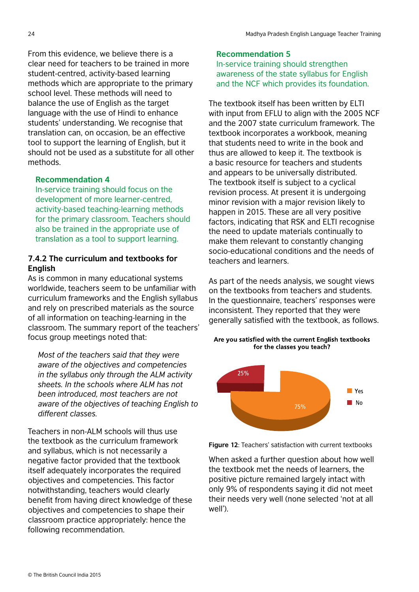From this evidence, we believe there is a clear need for teachers to be trained in more student-centred, activity-based learning methods which are appropriate to the primary school level. These methods will need to balance the use of English as the target language with the use of Hindi to enhance students' understanding. We recognise that translation can, on occasion, be an effective tool to support the learning of English, but it should not be used as a substitute for all other methods.

### **Recommendation 4**

In-service training should focus on the development of more learner-centred, activity-based teaching-learning methods for the primary classroom. Teachers should also be trained in the appropriate use of translation as a tool to support learning.

# **7.4.2 The curriculum and textbooks for English**

As is common in many educational systems worldwide, teachers seem to be unfamiliar with curriculum frameworks and the English syllabus and rely on prescribed materials as the source of all information on teaching-learning in the classroom. The summary report of the teachers' focus group meetings noted that:

*Most of the teachers said that they were aware of the objectives and competencies in the syllabus only through the ALM activity sheets. In the schools where ALM has not been introduced, most teachers are not aware of the objectives of teaching English to different classes.*

Teachers in non-ALM schools will thus use the textbook as the curriculum framework and syllabus, which is not necessarily a negative factor provided that the textbook itself adequately incorporates the required objectives and competencies. This factor notwithstanding, teachers would clearly benefit from having direct knowledge of these objectives and competencies to shape their classroom practice appropriately: hence the following recommendation.

#### **Recommendation 5**

In-service training should strengthen awareness of the state syllabus for English and the NCF which provides its foundation.

The textbook itself has been written by ELTI with input from EFLU to align with the 2005 NCF and the 2007 state curriculum framework. The textbook incorporates a workbook, meaning that students need to write in the book and thus are allowed to keep it. The textbook is a basic resource for teachers and students and appears to be universally distributed. The textbook itself is subject to a cyclical revision process. At present it is undergoing minor revision with a major revision likely to happen in 2015. These are all very positive factors, indicating that RSK and ELTI recognise the need to update materials continually to make them relevant to constantly changing socio-educational conditions and the needs of teachers and learners.

As part of the needs analysis, we sought views on the textbooks from teachers and students. In the questionnaire, teachers' responses were inconsistent. They reported that they were generally satisfied with the textbook, as follows.

Are you satisfied with the current English textbooks for the classes you teach?





When asked a further question about how well the textbook met the needs of learners, the positive picture remained largely intact with only 9% of respondents saying it did not meet their needs very well (none selected 'not at all well').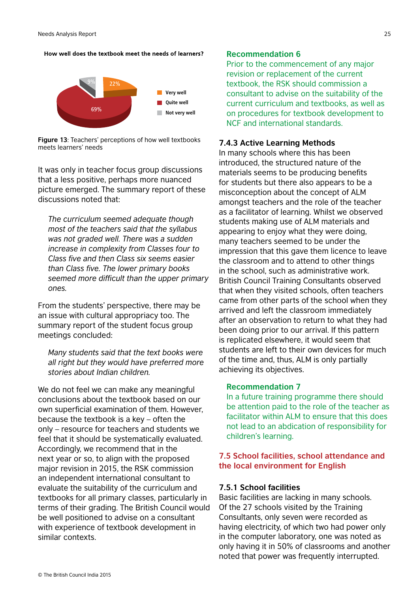How well does the textbook meet the needs of learners?



**Figure 13**: Teachers' perceptions of how well textbooks meets learners' needs

It was only in teacher focus group discussions that a less positive, perhaps more nuanced picture emerged. The summary report of these discussions noted that:

*The curriculum seemed adequate though most of the teachers said that the syllabus was not graded well. There was a sudden increase in complexity from Classes four to Class five and then Class six seems easier than Class five. The lower primary books seemed more difficult than the upper primary ones.*

From the students' perspective, there may be an issue with cultural appropriacy too. The summary report of the student focus group meetings concluded:

*Many students said that the text books were all right but they would have preferred more stories about Indian children.*

We do not feel we can make any meaningful conclusions about the textbook based on our own superficial examination of them. However, because the textbook is a key – often the only – resource for teachers and students we feel that it should be systematically evaluated. Accordingly, we recommend that in the next year or so, to align with the proposed major revision in 2015, the RSK commission an independent international consultant to evaluate the suitability of the curriculum and textbooks for all primary classes, particularly in terms of their grading. The British Council would be well positioned to advise on a consultant with experience of textbook development in similar contexts.

#### **Recommendation 6**

Prior to the commencement of any major revision or replacement of the current textbook, the RSK should commission a consultant to advise on the suitability of the current curriculum and textbooks, as well as on procedures for textbook development to NCF and international standards.

### **7.4.3 Active Learning Methods**

In many schools where this has been introduced, the structured nature of the materials seems to be producing benefits for students but there also appears to be a misconception about the concept of ALM amongst teachers and the role of the teacher as a facilitator of learning. Whilst we observed students making use of ALM materials and appearing to enjoy what they were doing, many teachers seemed to be under the impression that this gave them licence to leave the classroom and to attend to other things in the school, such as administrative work. British Council Training Consultants observed that when they visited schools, often teachers came from other parts of the school when they arrived and left the classroom immediately after an observation to return to what they had been doing prior to our arrival. If this pattern is replicated elsewhere, it would seem that students are left to their own devices for much of the time and, thus, ALM is only partially achieving its objectives.

#### **Recommendation 7**

In a future training programme there should be attention paid to the role of the teacher as facilitator within ALM to ensure that this does not lead to an abdication of responsibility for children's learning.

#### **7.5 School facilities, school attendance and the local environment for English**

#### **7.5.1 School facilities**

Basic facilities are lacking in many schools. Of the 27 schools visited by the Training Consultants, only seven were recorded as having electricity, of which two had power only in the computer laboratory, one was noted as only having it in 50% of classrooms and another noted that power was frequently interrupted.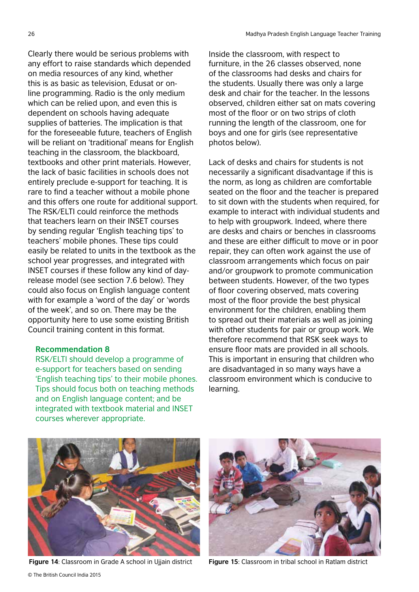Clearly there would be serious problems with any effort to raise standards which depended on media resources of any kind, whether this is as basic as television, Edusat or online programming. Radio is the only medium which can be relied upon, and even this is dependent on schools having adequate supplies of batteries. The implication is that for the foreseeable future, teachers of English will be reliant on 'traditional' means for English teaching in the classroom, the blackboard, textbooks and other print materials. However, the lack of basic facilities in schools does not entirely preclude e-support for teaching. It is rare to find a teacher without a mobile phone and this offers one route for additional support. The RSK/ELTI could reinforce the methods that teachers learn on their INSET courses by sending regular 'English teaching tips' to teachers' mobile phones. These tips could easily be related to units in the textbook as the school year progresses, and integrated with INSET courses if these follow any kind of dayrelease model (see section 7.6 below). They could also focus on English language content with for example a 'word of the day' or 'words of the week', and so on. There may be the opportunity here to use some existing British Council training content in this format.

#### **Recommendation 8**

RSK/ELTI should develop a programme of e-support for teachers based on sending 'English teaching tips' to their mobile phones. Tips should focus both on teaching methods and on English language content; and be integrated with textbook material and INSET courses wherever appropriate.

Inside the classroom, with respect to furniture, in the 26 classes observed, none of the classrooms had desks and chairs for the students. Usually there was only a large desk and chair for the teacher. In the lessons observed, children either sat on mats covering most of the floor or on two strips of cloth running the length of the classroom, one for boys and one for girls (see representative photos below).

Lack of desks and chairs for students is not necessarily a significant disadvantage if this is the norm, as long as children are comfortable seated on the floor and the teacher is prepared to sit down with the students when required, for example to interact with individual students and to help with groupwork. Indeed, where there are desks and chairs or benches in classrooms and these are either difficult to move or in poor repair, they can often work against the use of classroom arrangements which focus on pair and/or groupwork to promote communication between students. However, of the two types of floor covering observed, mats covering most of the floor provide the best physical environment for the children, enabling them to spread out their materials as well as joining with other students for pair or group work. We therefore recommend that RSK seek ways to ensure floor mats are provided in all schools. This is important in ensuring that children who are disadvantaged in so many ways have a classroom environment which is conducive to learning.



**Figure 14**: Classroom in Grade A school in Ujjain district **Figure 15**: Classroom in tribal school in Ratlam district

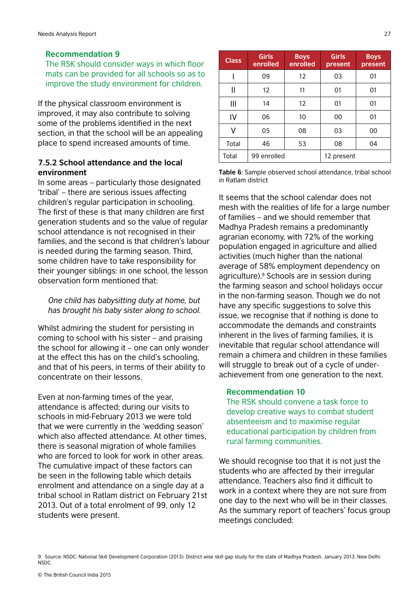#### **Recommendation 9**

The RSK should consider ways in which floor mats can be provided for all schools so as to improve the study environment for children.

If the physical classroom environment is improved, it may also contribute to solving some of the problems identified in the next section, in that the school will be an appealing place to spend increased amounts of time.

## **7.5.2 School attendance and the local environment**

In some areas – particularly those designated 'tribal' – there are serious issues affecting children's regular participation in schooling. The first of these is that many children are first generation students and so the value of regular school attendance is not recognised in their families, and the second is that children's labour is needed during the farming season. Third, some children have to take responsibility for their younger siblings: in one school, the lesson observation form mentioned that:

*One child has babysitting duty at home, but has brought his baby sister along to school.*

Whilst admiring the student for persisting in coming to school with his sister – and praising the school for allowing it – one can only wonder at the effect this has on the child's schooling, and that of his peers, in terms of their ability to concentrate on their lessons.

Even at non-farming times of the year, attendance is affected; during our visits to schools in mid-February 2013 we were told that we were currently in the 'wedding season' which also affected attendance. At other times, there is seasonal migration of whole families who are forced to look for work in other areas. The cumulative impact of these factors can be seen in the following table which details enrolment and attendance on a single day at a tribal school in Ratlam district on February 21st 2013. Out of a total enrolment of 99, only 12 students were present.

| <b>Class</b> | <b>Girls</b><br>enrolled | <b>Boys</b><br>enrolled | <b>Girls</b><br>present | <b>Boys</b><br>present |
|--------------|--------------------------|-------------------------|-------------------------|------------------------|
|              | 09                       | $12 \overline{ }$       | 03                      | 01                     |
| Π            | 12                       | 11                      | 01                      | 01                     |
| Ш            | 14                       | $12 \overline{ }$       | 01                      | 01                     |
| IV           | 06                       | 10                      | 00                      | 01                     |
| v            | 05                       | 08                      | 03                      | 00                     |
| Total        | 46                       | 53                      | 08                      | 04                     |
| Total        | 99 enrolled              |                         | 12 present              |                        |

**Table 6**: Sample observed school attendance, tribal school in Ratlam district

It seems that the school calendar does not mesh with the realities of life for a large number of families – and we should remember that Madhya Pradesh remains a predominantly agrarian economy, with 72% of the working population engaged in agriculture and allied activities (much higher than the national average of 58% employment dependency on agriculture).<sup>9</sup> Schools are in session during the farming season and school holidays occur in the non-farming season. Though we do not have any specific suggestions to solve this issue, we recognise that if nothing is done to accommodate the demands and constraints inherent in the lives of farming families, it is inevitable that regular school attendance will remain a chimera and children in these families will struggle to break out of a cycle of underachievement from one generation to the next.

#### **Recommendation 10**

The RSK should convene a task force to develop creative ways to combat student absenteeism and to maximise regular educational participation by children from rural farming communities.

We should recognise too that it is not just the students who are affected by their irregular attendance. Teachers also find it difficult to work in a context where they are not sure from one day to the next who will be in their classes. As the summary report of teachers' focus group meetings concluded: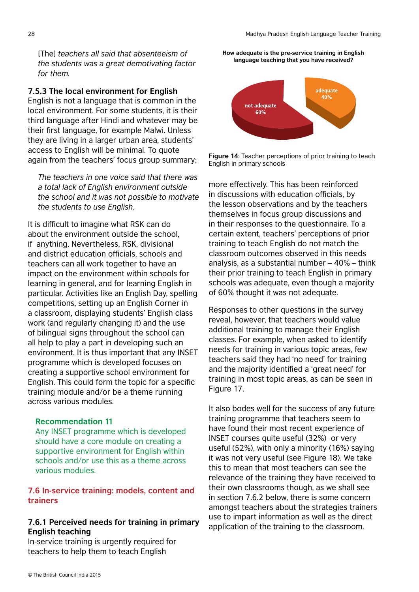[The] *teachers all said that absenteeism of the students was a great demotivating factor for them.*

#### **7.5.3 The local environment for English**

English is not a language that is common in the local environment. For some students, it is their third language after Hindi and whatever may be their first language, for example Malwi. Unless they are living in a larger urban area, students' access to English will be minimal. To quote again from the teachers' focus group summary:

*The teachers in one voice said that there was a total lack of English environment outside the school and it was not possible to motivate the students to use English.*

It is difficult to imagine what RSK can do about the environment outside the school, if anything. Nevertheless, RSK, divisional and district education officials, schools and teachers can all work together to have an impact on the environment within schools for learning in general, and for learning English in particular. Activities like an English Day, spelling competitions, setting up an English Corner in a classroom, displaying students' English class work (and regularly changing it) and the use of bilingual signs throughout the school can all help to play a part in developing such an environment. It is thus important that any INSET programme which is developed focuses on creating a supportive school environment for English. This could form the topic for a specific training module and/or be a theme running across various modules.

#### **Recommendation 11**

Any INSET programme which is developed should have a core module on creating a supportive environment for English within schools and/or use this as a theme across various modules.

## **7.6 In-service training: models, content and trainers**

### **7.6.1 Perceived needs for training in primary English teaching**

In-service training is urgently required for teachers to help them to teach English

**How adequate is the pre-service training in English language teaching that you have received?**



**Figure 14**: Teacher perceptions of prior training to teach English in primary schools

more effectively. This has been reinforced in discussions with education officials, by the lesson observations and by the teachers themselves in focus group discussions and in their responses to the questionnaire. To a certain extent, teachers' perceptions of prior training to teach English do not match the classroom outcomes observed in this needs analysis, as a substantial number – 40% – think their prior training to teach English in primary schools was adequate, even though a majority of 60% thought it was not adequate.

Responses to other questions in the survey reveal, however, that teachers would value additional training to manage their English classes. For example, when asked to identify needs for training in various topic areas, few teachers said they had 'no need' for training and the majority identified a 'great need' for training in most topic areas, as can be seen in Figure 17.

It also bodes well for the success of any future training programme that teachers seem to have found their most recent experience of INSET courses quite useful (32%) or very useful (52%), with only a minority (16%) saying it was not very useful (see Figure 18). We take this to mean that most teachers can see the relevance of the training they have received to their own classrooms though, as we shall see in section 7.6.2 below, there is some concern amongst teachers about the strategies trainers use to impart information as well as the direct application of the training to the classroom.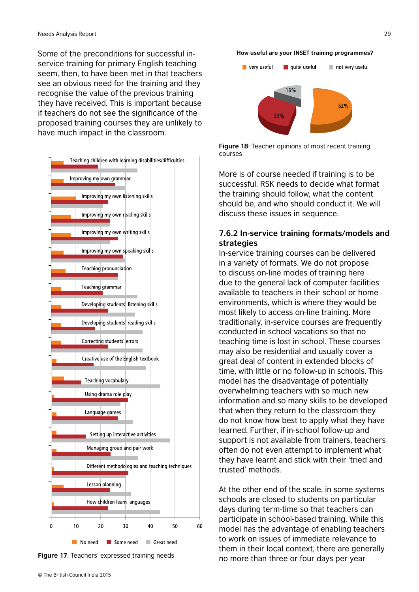Some of the preconditions for successful inservice training for primary English teaching seem, then, to have been met in that teachers see an obvious need for the training and they recognise the value of the previous training they have received. This is important because if teachers do not see the significance of the proposed training courses they are unlikely to have much impact in the classroom.





#### **How useful are your INSET training programmes?**



**Figure 18**: Teacher opinions of most recent training courses

More is of course needed if training is to be successful. RSK needs to decide what format the training should follow, what the content should be, and who should conduct it. We will discuss these issues in sequence.

#### **7.6.2 In-service training formats/models and strategies**

In-service training courses can be delivered in a variety of formats. We do not propose to discuss on-line modes of training here due to the general lack of computer facilities available to teachers in their school or home environments, which is where they would be most likely to access on-line training. More traditionally, in-service courses are frequently conducted in school vacations so that no teaching time is lost in school. These courses may also be residential and usually cover a great deal of content in extended blocks of time, with little or no follow-up in schools. This model has the disadvantage of potentially overwhelming teachers with so much new information and so many skills to be developed that when they return to the classroom they do not know how best to apply what they have learned. Further, if in-school follow-up and support is not available from trainers, teachers often do not even attempt to implement what they have learnt and stick with their 'tried and trusted' methods.

At the other end of the scale, in some systems schools are closed to students on particular days during term-time so that teachers can participate in school-based training. While this model has the advantage of enabling teachers to work on issues of immediate relevance to them in their local context, there are generally no more than three or four days per year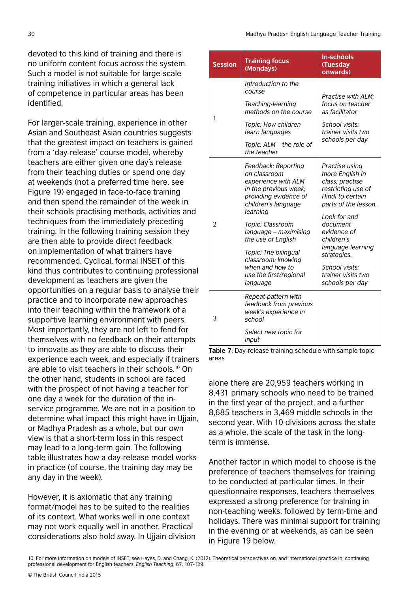devoted to this kind of training and there is no uniform content focus across the system. Such a model is not suitable for large-scale training initiatives in which a general lack of competence in particular areas has been identified.

For larger-scale training, experience in other Asian and Southeast Asian countries suggests that the greatest impact on teachers is gained from a 'day-release' course model, whereby teachers are either given one day's release from their teaching duties or spend one day at weekends (not a preferred time here, see Figure 19) engaged in face-to-face training and then spend the remainder of the week in their schools practising methods, activities and techniques from the immediately preceding training. In the following training session they are then able to provide direct feedback on implementation of what trainers have recommended. Cyclical, formal INSET of this kind thus contributes to continuing professional development as teachers are given the opportunities on a regular basis to analyse their practice and to incorporate new approaches into their teaching within the framework of a supportive learning environment with peers. Most importantly, they are not left to fend for themselves with no feedback on their attempts to innovate as they are able to discuss their experience each week, and especially if trainers are able to visit teachers in their schools.10 On the other hand, students in school are faced with the prospect of not having a teacher for one day a week for the duration of the inservice programme. We are not in a position to determine what impact this might have in Ujjain, or Madhya Pradesh as a whole, but our own view is that a short-term loss in this respect may lead to a long-term gain. The following table illustrates how a day-release model works in practice (of course, the training day may be any day in the week).

However, it is axiomatic that any training format/model has to be suited to the realities of its context. What works well in one context may not work equally well in another. Practical considerations also hold sway. In Ujjain division

| <b>Session</b> | <b>Training focus</b><br>(Mondays)                                                                                                                                                                                                                                                                                        | <b>In-schools</b><br>(Tuesday<br>onwards)                                                                                                                                                                                                                                      |
|----------------|---------------------------------------------------------------------------------------------------------------------------------------------------------------------------------------------------------------------------------------------------------------------------------------------------------------------------|--------------------------------------------------------------------------------------------------------------------------------------------------------------------------------------------------------------------------------------------------------------------------------|
| 1              | Introduction to the<br>course<br>Teaching-learning<br>methods on the course<br>Topic: How children<br>learn languages<br>Topic: ALM - the role of<br>the teacher                                                                                                                                                          | Practise with ALM;<br>focus on teacher<br>as facilitator<br>School visits:<br>trainer visits two<br>schools per day                                                                                                                                                            |
| $\overline{2}$ | Feedback: Reporting<br>on classroom<br>experience with ALM<br>in the previous week;<br>providing evidence of<br>children's language<br>learning<br>Topic: Classroom<br>language - maximising<br>the use of English<br>Topic: The bilingual<br>classroom: knowing<br>when and how to<br>use the first/regional<br>language | Practise using<br>more English in<br>class; practise<br>restricting use of<br>Hindi to certain<br>parts of the lesson.<br>Look for and<br>document<br>evidence of<br>children's<br>language learning<br>strategies.<br>School visits:<br>trainer visits two<br>schools per day |
| 3              | Repeat pattern with<br>feedback from previous<br>week's experience in<br>school<br>Select new topic for<br>input                                                                                                                                                                                                          |                                                                                                                                                                                                                                                                                |

**Table 7**: Day-release training schedule with sample topic areas

alone there are 20,959 teachers working in 8,431 primary schools who need to be trained in the first year of the project, and a further 8,685 teachers in 3,469 middle schools in the second year. With 10 divisions across the state as a whole, the scale of the task in the longterm is immense.

Another factor in which model to choose is the preference of teachers themselves for training to be conducted at particular times. In their questionnaire responses, teachers themselves expressed a strong preference for training in non-teaching weeks, followed by term-time and holidays. There was minimal support for training in the evening or at weekends, as can be seen in Figure 19 below.

10. For more information on models of INSET, see Hayes, D. and Chang, K. (2012). Theoretical perspectives on, and international practice in, continuing professional development for English teachers. *English Teaching*, 67, 107-129.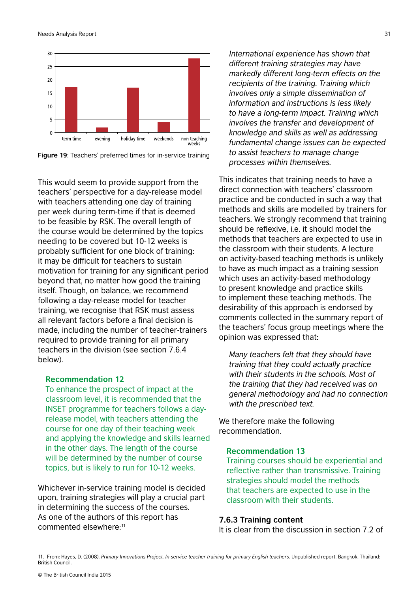

**Figure 19**: Teachers' preferred times for in-service training

This would seem to provide support from the teachers' perspective for a day-release model with teachers attending one day of training per week during term-time if that is deemed to be feasible by RSK. The overall length of the course would be determined by the topics needing to be covered but 10-12 weeks is probably sufficient for one block of training: it may be difficult for teachers to sustain motivation for training for any significant period beyond that, no matter how good the training itself. Though, on balance, we recommend following a day-release model for teacher training, we recognise that RSK must assess all relevant factors before a final decision is made, including the number of teacher-trainers required to provide training for all primary teachers in the division (see section 7.6.4 below).

#### **Recommendation 12**

To enhance the prospect of impact at the classroom level, it is recommended that the INSET programme for teachers follows a dayrelease model, with teachers attending the course for one day of their teaching week and applying the knowledge and skills learned in the other days. The length of the course will be determined by the number of course topics, but is likely to run for 10-12 weeks.

Whichever in-service training model is decided upon, training strategies will play a crucial part in determining the success of the courses. As one of the authors of this report has commented elsewhere:11

*International experience has shown that different training strategies may have markedly different long-term effects on the recipients of the training. Training which involves only a simple dissemination of information and instructions is less likely to have a long-term impact. Training which involves the transfer and development of knowledge and skills as well as addressing fundamental change issues can be expected to assist teachers to manage change processes within themselves.*

This indicates that training needs to have a direct connection with teachers' classroom practice and be conducted in such a way that methods and skills are modelled by trainers for teachers. We strongly recommend that training should be reflexive, i.e. it should model the methods that teachers are expected to use in the classroom with their students. A lecture on activity-based teaching methods is unlikely to have as much impact as a training session which uses an activity-based methodology to present knowledge and practice skills to implement these teaching methods. The desirability of this approach is endorsed by comments collected in the summary report of the teachers' focus group meetings where the opinion was expressed that:

*Many teachers felt that they should have training that they could actually practice with their students in the schools. Most of the training that they had received was on general methodology and had no connection with the prescribed text.*

We therefore make the following recommendation.

### **Recommendation 13**

Training courses should be experiential and reflective rather than transmissive. Training strategies should model the methods that teachers are expected to use in the classroom with their students.

### **7.6.3 Training content**

It is clear from the discussion in section 7.2 of

<sup>11.</sup> From: Hayes, D. (2008). *Primary Innovations Project. In-service teacher training for primary English teachers*. Unpublished report. Bangkok, Thailand: British Council.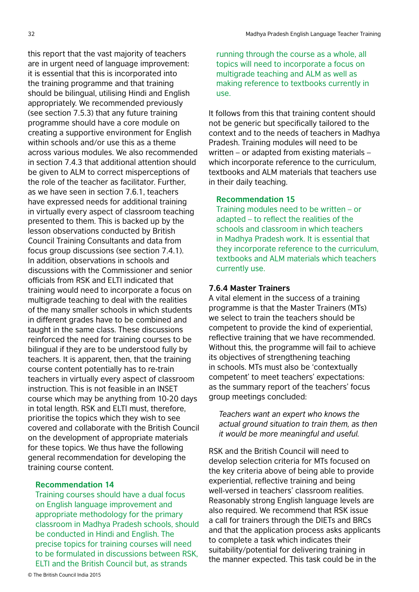this report that the vast majority of teachers are in urgent need of language improvement: it is essential that this is incorporated into the training programme and that training should be bilingual, utilising Hindi and English appropriately. We recommended previously (see section 7.5.3) that any future training programme should have a core module on creating a supportive environment for English within schools and/or use this as a theme across various modules. We also recommended in section 7.4.3 that additional attention should be given to ALM to correct misperceptions of the role of the teacher as facilitator. Further, as we have seen in section 7.6.1, teachers have expressed needs for additional training in virtually every aspect of classroom teaching presented to them. This is backed up by the lesson observations conducted by British Council Training Consultants and data from focus group discussions (see section 7.4.1). In addition, observations in schools and discussions with the Commissioner and senior officials from RSK and ELTI indicated that training would need to incorporate a focus on multigrade teaching to deal with the realities of the many smaller schools in which students in different grades have to be combined and taught in the same class. These discussions reinforced the need for training courses to be bilingual if they are to be understood fully by teachers. It is apparent, then, that the training course content potentially has to re-train teachers in virtually every aspect of classroom instruction. This is not feasible in an INSET course which may be anything from 10-20 days in total length. RSK and ELTI must, therefore, prioritise the topics which they wish to see covered and collaborate with the British Council on the development of appropriate materials for these topics. We thus have the following general recommendation for developing the training course content.

#### **Recommendation 14**

Training courses should have a dual focus on English language improvement and appropriate methodology for the primary classroom in Madhya Pradesh schools, should be conducted in Hindi and English. The precise topics for training courses will need to be formulated in discussions between RSK, ELTI and the British Council but, as strands

running through the course as a whole, all topics will need to incorporate a focus on multigrade teaching and ALM as well as making reference to textbooks currently in use.

It follows from this that training content should not be generic but specifically tailored to the context and to the needs of teachers in Madhya Pradesh. Training modules will need to be written – or adapted from existing materials – which incorporate reference to the curriculum, textbooks and ALM materials that teachers use in their daily teaching.

#### **Recommendation 15**

Training modules need to be written – or adapted – to reflect the realities of the schools and classroom in which teachers in Madhya Pradesh work. It is essential that they incorporate reference to the curriculum, textbooks and ALM materials which teachers currently use.

#### **7.6.4 Master Trainers**

A vital element in the success of a training programme is that the Master Trainers (MTs) we select to train the teachers should be competent to provide the kind of experiential, reflective training that we have recommended. Without this, the programme will fail to achieve its objectives of strengthening teaching in schools. MTs must also be 'contextually competent' to meet teachers' expectations: as the summary report of the teachers' focus group meetings concluded:

*Teachers want an expert who knows the actual ground situation to train them, as then it would be more meaningful and useful.*

RSK and the British Council will need to develop selection criteria for MTs focused on the key criteria above of being able to provide experiential, reflective training and being well-versed in teachers' classroom realities. Reasonably strong English language levels are also required. We recommend that RSK issue a call for trainers through the DIETs and BRCs and that the application process asks applicants to complete a task which indicates their suitability/potential for delivering training in the manner expected. This task could be in the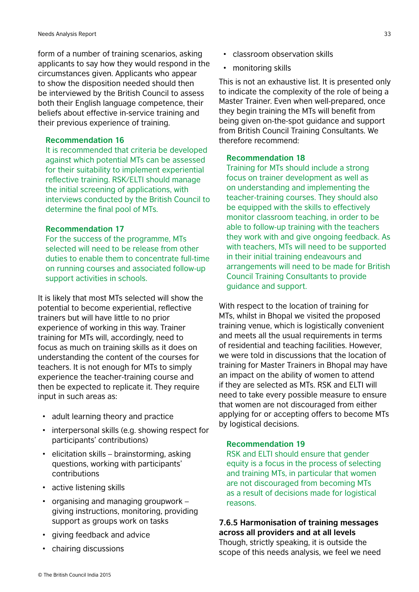form of a number of training scenarios, asking applicants to say how they would respond in the circumstances given. Applicants who appear to show the disposition needed should then be interviewed by the British Council to assess both their English language competence, their beliefs about effective in-service training and their previous experience of training.

#### **Recommendation 16**

It is recommended that criteria be developed against which potential MTs can be assessed for their suitability to implement experiential reflective training. RSK/ELTI should manage the initial screening of applications, with interviews conducted by the British Council to determine the final pool of MTs.

#### **Recommendation 17**

For the success of the programme, MTs selected will need to be release from other duties to enable them to concentrate full-time on running courses and associated follow-up support activities in schools.

It is likely that most MTs selected will show the potential to become experiential, reflective trainers but will have little to no prior experience of working in this way. Trainer training for MTs will, accordingly, need to focus as much on training skills as it does on understanding the content of the courses for teachers. It is not enough for MTs to simply experience the teacher-training course and then be expected to replicate it. They require input in such areas as:

- adult learning theory and practice
- interpersonal skills (e.g. showing respect for participants' contributions)
- elicitation skills brainstorming, asking questions, working with participants' contributions
- active listening skills
- organising and managing groupwork giving instructions, monitoring, providing support as groups work on tasks
- giving feedback and advice
- chairing discussions
- classroom observation skills
- monitoring skills

This is not an exhaustive list. It is presented only to indicate the complexity of the role of being a Master Trainer. Even when well-prepared, once they begin training the MTs will benefit from being given on-the-spot guidance and support from British Council Training Consultants. We therefore recommend:

#### **Recommendation 18**

Training for MTs should include a strong focus on trainer development as well as on understanding and implementing the teacher-training courses. They should also be equipped with the skills to effectively monitor classroom teaching, in order to be able to follow-up training with the teachers they work with and give ongoing feedback. As with teachers, MTs will need to be supported in their initial training endeavours and arrangements will need to be made for British Council Training Consultants to provide guidance and support.

With respect to the location of training for MTs, whilst in Bhopal we visited the proposed training venue, which is logistically convenient and meets all the usual requirements in terms of residential and teaching facilities. However, we were told in discussions that the location of training for Master Trainers in Bhopal may have an impact on the ability of women to attend if they are selected as MTs. RSK and ELTI will need to take every possible measure to ensure that women are not discouraged from either applying for or accepting offers to become MTs by logistical decisions.

#### **Recommendation 19**

RSK and ELTI should ensure that gender equity is a focus in the process of selecting and training MTs, in particular that women are not discouraged from becoming MTs as a result of decisions made for logistical reasons.

# **7.6.5 Harmonisation of training messages across all providers and at all levels**

Though, strictly speaking, it is outside the scope of this needs analysis, we feel we need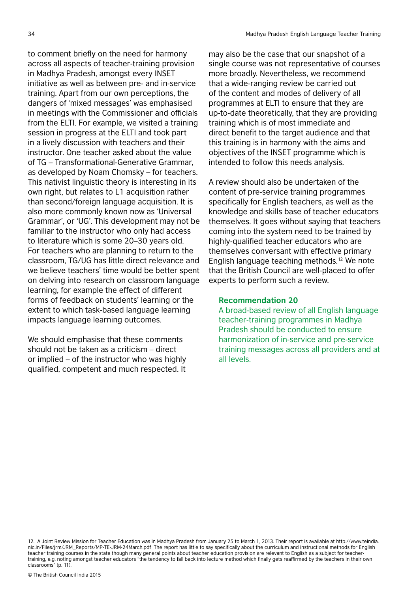to comment briefly on the need for harmony across all aspects of teacher-training provision in Madhya Pradesh, amongst every INSET initiative as well as between pre- and in-service training. Apart from our own perceptions, the dangers of 'mixed messages' was emphasised in meetings with the Commissioner and officials from the ELTI. For example, we visited a training session in progress at the ELTI and took part in a lively discussion with teachers and their instructor. One teacher asked about the value of TG – Transformational-Generative Grammar, as developed by Noam Chomsky – for teachers. This nativist linguistic theory is interesting in its own right, but relates to L1 acquisition rather than second/foreign language acquisition. It is also more commonly known now as 'Universal Grammar', or 'UG'. This development may not be familiar to the instructor who only had access to literature which is some 20–30 years old. For teachers who are planning to return to the classroom, TG/UG has little direct relevance and we believe teachers' time would be better spent on delving into research on classroom language learning, for example the effect of different forms of feedback on students' learning or the extent to which task-based language learning impacts language learning outcomes.

We should emphasise that these comments should not be taken as a criticism – direct or implied – of the instructor who was highly qualified, competent and much respected. It

may also be the case that our snapshot of a single course was not representative of courses more broadly. Nevertheless, we recommend that a wide-ranging review be carried out of the content and modes of delivery of all programmes at ELTI to ensure that they are up-to-date theoretically, that they are providing training which is of most immediate and direct benefit to the target audience and that this training is in harmony with the aims and objectives of the INSET programme which is intended to follow this needs analysis.

A review should also be undertaken of the content of pre-service training programmes specifically for English teachers, as well as the knowledge and skills base of teacher educators themselves. It goes without saying that teachers coming into the system need to be trained by highly-qualified teacher educators who are themselves conversant with effective primary English language teaching methods.12 We note that the British Council are well-placed to offer experts to perform such a review.

#### **Recommendation 20**

A broad-based review of all English language teacher-training programmes in Madhya Pradesh should be conducted to ensure harmonization of in-service and pre-service training messages across all providers and at all levels.

<sup>12.</sup> A Joint Review Mission for Teacher Education was in Madhya Pradesh from January 25 to March 1, 2013. Their report is available at http://www.teindia. nic.in/Files/jrm/JRM\_Reports/MP-TE-JRM-24March.pdf The report has little to say specifically about the curriculum and instructional methods for English teacher training courses in the state though many general points about teacher education provision are relevant to English as a subject for teachertraining, e.g. noting amongst teacher educators "the tendency to fall back into lecture method which finally gets reaffirmed by the teachers in their own classrooms" (p. 11).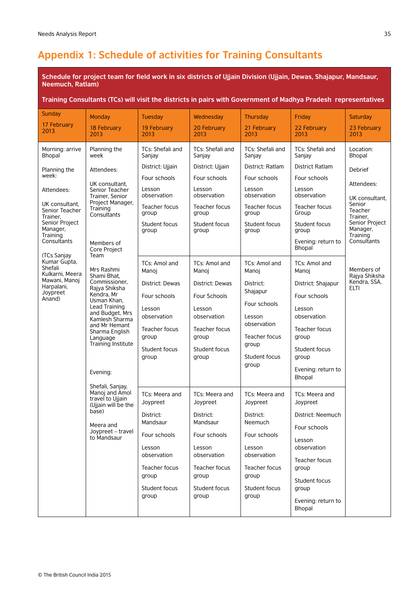# **Appendix 1: Schedule of activities for Training Consultants**

**Schedule for project team for field work in six districts of Ujjain Division (Ujjain, Dewas, Shajapur, Mandsaur, Neemuch, Ratlam)** 

#### **Training Consultants (TCs) will visit the districts in pairs with Government of Madhya Pradesh representatives**

| <b>Sunday</b>                                                                                                                                                                                                                                                  | Monday                                                                                                                                                                                                                                                                                                                                                                                                                                                                     | <b>Tuesday</b>                                                                                                                                                                                                                                                                        | Wednesday                                                                                                                                                                                                                                                                             | <b>Thursday</b>                                                                                                                                                                                                                                                                             | Friday                                                                                                                                                                                                                                                                                                                                                         | <b>Saturday</b>                                                                                                                                                                                 |
|----------------------------------------------------------------------------------------------------------------------------------------------------------------------------------------------------------------------------------------------------------------|----------------------------------------------------------------------------------------------------------------------------------------------------------------------------------------------------------------------------------------------------------------------------------------------------------------------------------------------------------------------------------------------------------------------------------------------------------------------------|---------------------------------------------------------------------------------------------------------------------------------------------------------------------------------------------------------------------------------------------------------------------------------------|---------------------------------------------------------------------------------------------------------------------------------------------------------------------------------------------------------------------------------------------------------------------------------------|---------------------------------------------------------------------------------------------------------------------------------------------------------------------------------------------------------------------------------------------------------------------------------------------|----------------------------------------------------------------------------------------------------------------------------------------------------------------------------------------------------------------------------------------------------------------------------------------------------------------------------------------------------------------|-------------------------------------------------------------------------------------------------------------------------------------------------------------------------------------------------|
| 17 February<br>2013                                                                                                                                                                                                                                            | 18 February<br>2013                                                                                                                                                                                                                                                                                                                                                                                                                                                        | 19 February<br>2013                                                                                                                                                                                                                                                                   | 20 February<br>2013                                                                                                                                                                                                                                                                   | 21 February<br>2013                                                                                                                                                                                                                                                                         | 22 February<br>2013                                                                                                                                                                                                                                                                                                                                            | 23 February<br>2013                                                                                                                                                                             |
| Morning: arrive<br>Bhopal                                                                                                                                                                                                                                      | Planning the<br>week                                                                                                                                                                                                                                                                                                                                                                                                                                                       | TCs: Shefali and<br>Sanjay                                                                                                                                                                                                                                                            | TCs: Shefali and<br>Sanjay                                                                                                                                                                                                                                                            | TCs: Shefali and<br>Sanjay                                                                                                                                                                                                                                                                  | TCs: Shefali and<br>Sanjay                                                                                                                                                                                                                                                                                                                                     | Location:<br><b>Bhopal</b>                                                                                                                                                                      |
| Planning the<br>week:<br>Attendees:<br>UK consultant.<br>Senior Teacher<br>Trainer.<br>Senior Project<br>Manager,<br>Training<br>Consultants<br>(TCs Sanjay<br>Kumar Gupta,<br>Shefali<br>Kulkarni, Meera<br>Mawani, Manoj<br>Harpalani,<br>Joypreet<br>Anand) | Attendees:<br>UK consultant.<br>Senior Teacher<br>Trainer, Senior<br>Project Manager,<br>Training<br>Consultants<br>Members of<br>Core Project<br>Team<br>Mrs Rashmi<br>Shami Bhat,<br>Commissioner,<br>Rajya Shiksha<br>Kendra, Mr<br>Usman Khan,<br>Lead Training<br>and Budget, Mrs<br>Kamlesh Sharma<br>and Mr Hemant<br>Sharma English<br>Language<br>Training Institute<br>Evening:<br>Shefali, Sanjay,<br>Manoj and Amol<br>travel to Ujjain<br>(Ujjain will be the | District: Ujjain<br>Four schools<br>Lesson<br>observation<br>Teacher focus<br>group<br>Student focus<br>group<br>TCs: Amol and<br>Manoj<br>District: Dewas<br>Four schools<br>Lesson<br>observation<br>Teacher focus<br>group<br>Student focus<br>group<br>TCs: Meera and<br>Joypreet | District: Ujjain<br>Four schools<br>Lesson<br>observation<br>Teacher focus<br>group<br>Student focus<br>group<br>TCs: Amol and<br>Manoj<br>District: Dewas<br>Four Schools<br>Lesson<br>observation<br>Teacher focus<br>group<br>Student focus<br>group<br>TCs: Meera and<br>Joypreet | District: Ratlam<br>Four schools<br>Lesson<br>observation<br>Teacher focus<br>group<br>Student focus<br>group<br>TCs: Amol and<br>Manoj<br>District:<br>Shajapur<br>Four schools<br>Lesson<br>observation<br>Teacher focus<br>group<br>Student focus<br>group<br>TCs: Meera and<br>Joypreet | <b>District Ratlam</b><br>Four schools<br>Lesson<br>observation<br>Teacher focus<br>Group<br>Student focus<br>group<br>Evening: return to<br>Bhopal<br>TCs: Amol and<br>Manoj<br>District: Shajapur<br>Four schools<br>Lesson<br>observation<br>Teacher focus<br>group<br>Student focus<br>group<br>Evening: return to<br>Bhopal<br>TCs: Meera and<br>Joypreet | <b>Debrief</b><br>Attendees:<br>UK consultant,<br>Senior<br>Teacher<br>Trainer,<br>Senior Project<br>Manager,<br>Training<br>Consultants<br>Members of<br>Rajya Shiksha<br>Kendra, SSA,<br>ELTI |
|                                                                                                                                                                                                                                                                | base)<br>Meera and<br>Joypreet - travel<br>to Mandsaur                                                                                                                                                                                                                                                                                                                                                                                                                     | District:<br>Mandsaur<br>Four schools                                                                                                                                                                                                                                                 | District:<br>Mandsaur<br>Four schools<br>Lesson                                                                                                                                                                                                                                       | District:<br>Neemuch<br>Four schools<br>Lesson                                                                                                                                                                                                                                              | District: Neemuch<br>Four schools<br>Lesson<br>observation                                                                                                                                                                                                                                                                                                     |                                                                                                                                                                                                 |
|                                                                                                                                                                                                                                                                |                                                                                                                                                                                                                                                                                                                                                                                                                                                                            | Lesson<br>observation<br>Teacher focus<br>group<br>Student focus<br>group                                                                                                                                                                                                             | observation<br>Teacher focus<br>group<br>Student focus<br>group                                                                                                                                                                                                                       | observation<br>Teacher focus<br>group<br>Student focus<br>group                                                                                                                                                                                                                             | Teacher focus<br>group<br>Student focus<br>group<br>Evening: return to<br>Bhopal                                                                                                                                                                                                                                                                               |                                                                                                                                                                                                 |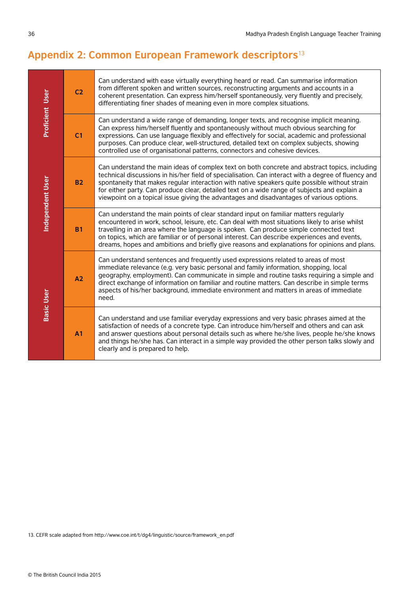# **Appendix 2: Common European Framework descriptors**<sup>13</sup>

| <b>Proficient User</b> | C <sub>2</sub> | Can understand with ease virtually everything heard or read. Can summarise information<br>from different spoken and written sources, reconstructing arguments and accounts in a<br>coherent presentation. Can express him/herself spontaneously, very fluently and precisely,<br>differentiating finer shades of meaning even in more complex situations.                                                                                                                                         |
|------------------------|----------------|---------------------------------------------------------------------------------------------------------------------------------------------------------------------------------------------------------------------------------------------------------------------------------------------------------------------------------------------------------------------------------------------------------------------------------------------------------------------------------------------------|
|                        | C <sub>1</sub> | Can understand a wide range of demanding, longer texts, and recognise implicit meaning.<br>Can express him/herself fluently and spontaneously without much obvious searching for<br>expressions. Can use language flexibly and effectively for social, academic and professional<br>purposes. Can produce clear, well-structured, detailed text on complex subjects, showing<br>controlled use of organisational patterns, connectors and cohesive devices.                                       |
| Independent User       | <b>B2</b>      | Can understand the main ideas of complex text on both concrete and abstract topics, including<br>technical discussions in his/her field of specialisation. Can interact with a degree of fluency and<br>spontaneity that makes regular interaction with native speakers quite possible without strain<br>for either party. Can produce clear, detailed text on a wide range of subjects and explain a<br>viewpoint on a topical issue giving the advantages and disadvantages of various options. |
|                        | <b>B1</b>      | Can understand the main points of clear standard input on familiar matters regularly<br>encountered in work, school, leisure, etc. Can deal with most situations likely to arise whilst<br>travelling in an area where the language is spoken. Can produce simple connected text<br>on topics, which are familiar or of personal interest. Can describe experiences and events,<br>dreams, hopes and ambitions and briefly give reasons and explanations for opinions and plans.                  |
| <b>Basic User</b>      | A2             | Can understand sentences and frequently used expressions related to areas of most<br>immediate relevance (e.g. very basic personal and family information, shopping, local<br>geography, employment). Can communicate in simple and routine tasks requiring a simple and<br>direct exchange of information on familiar and routine matters. Can describe in simple terms<br>aspects of his/her background, immediate environment and matters in areas of immediate<br>need.                       |
|                        | A <sub>1</sub> | Can understand and use familiar everyday expressions and very basic phrases aimed at the<br>satisfaction of needs of a concrete type. Can introduce him/herself and others and can ask<br>and answer questions about personal details such as where he/she lives, people he/she knows<br>and things he/she has. Can interact in a simple way provided the other person talks slowly and<br>clearly and is prepared to help.                                                                       |

13. CEFR scale adapted from http://www.coe.int/t/dg4/linguistic/source/framework\_en.pdf